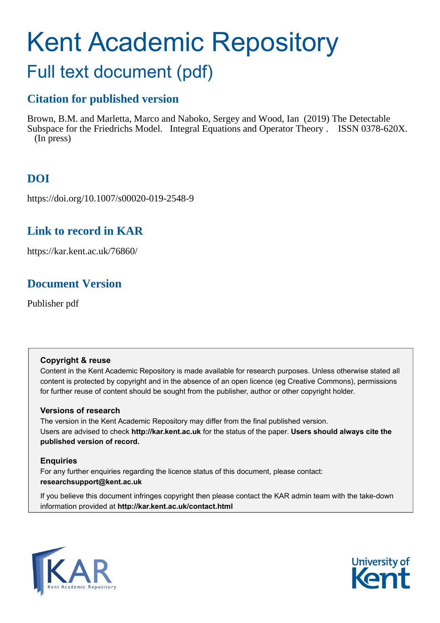# Kent Academic Repository

## Full text document (pdf)

## **Citation for published version**

Brown, B.M. and Marletta, Marco and Naboko, Sergey and Wood, Ian (2019) The Detectable Subspace for the Friedrichs Model. Integral Equations and Operator Theory . ISSN 0378-620X. (In press)

## **DOI**

https://doi.org/10.1007/s00020-019-2548-9

## **Link to record in KAR**

https://kar.kent.ac.uk/76860/

## **Document Version**

Publisher pdf

#### **Copyright & reuse**

Content in the Kent Academic Repository is made available for research purposes. Unless otherwise stated all content is protected by copyright and in the absence of an open licence (eg Creative Commons), permissions for further reuse of content should be sought from the publisher, author or other copyright holder.

#### **Versions of research**

The version in the Kent Academic Repository may differ from the final published version. Users are advised to check **http://kar.kent.ac.uk** for the status of the paper. **Users should always cite the published version of record.**

#### **Enquiries**

For any further enquiries regarding the licence status of this document, please contact: **researchsupport@kent.ac.uk**

If you believe this document infringes copyright then please contact the KAR admin team with the take-down information provided at **http://kar.kent.ac.uk/contact.html**



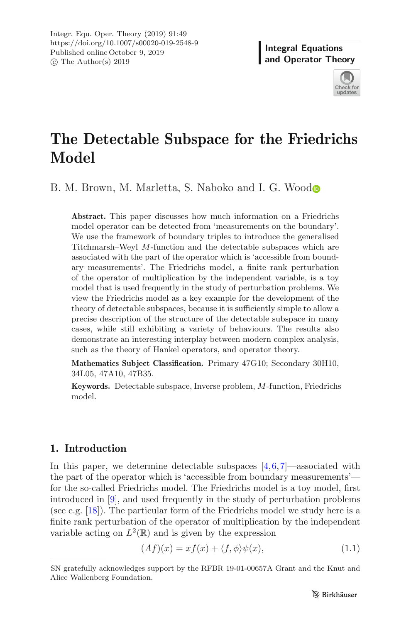

## **The Detectable Subspace for the Friedrichs Model**

B. M. Brown, M. Marletta, S. Naboko an[d](http://orcid.org/0000-0001-7181-7075) I. G. Wood

**Abstract.** This paper discusses how much information on a Friedrichs model operator can be detected from 'measurements on the boundary'. We use the framework of boundary triples to introduce the generalised Titchmarsh–Weyl M-function and the detectable subspaces which are associated with the part of the operator which is 'accessible from boundary measurements'. The Friedrichs model, a finite rank perturbation of the operator of multiplication by the independent variable, is a toy model that is used frequently in the study of perturbation problems. We view the Friedrichs model as a key example for the development of the theory of detectable subspaces, because it is sufficiently simple to allow a precise description of the structure of the detectable subspace in many cases, while still exhibiting a variety of behaviours. The results also demonstrate an interesting interplay between modern complex analysis, such as the theory of Hankel operators, and operator theory.

**Mathematics Subject Classification.** Primary 47G10; Secondary 30H10, 34L05, 47A10, 47B35.

**Keywords.** Detectable subspace, Inverse problem, M-function, Friedrichs model.

#### **1. Introduction**

In this paper, we determine detectable subspaces  $[4,6,7]$ —associated with the part of the operator which is 'accessible from boundary measurements' for the so-called Friedrichs model. The Friedrichs model is a toy model, first introduced in [9], and used frequently in the study of perturbation problems (see e.g. [18]). The particular form of the Friedrichs model we study here is a finite rank perturbation of the operator of multiplication by the independent variable acting on  $L^2(\mathbb{R})$  and is given by the expression

$$
(Af)(x) = xf(x) + \langle f, \phi \rangle \psi(x), \tag{1.1}
$$

SN gratefully acknowledges support by the RFBR 19-01-00657A Grant and the Knut and Alice Wallenberg Foundation.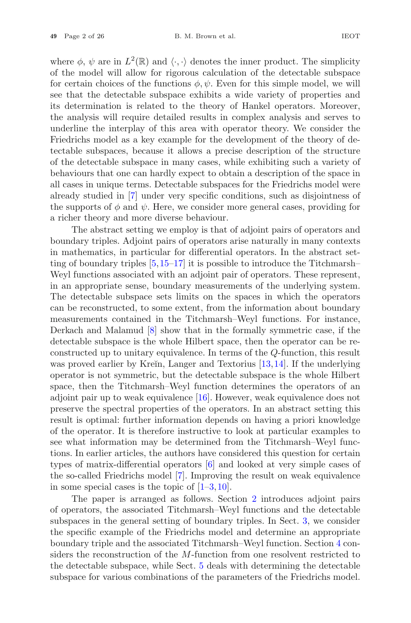where  $\phi$ ,  $\psi$  are in  $L^2(\mathbb{R})$  and  $\langle \cdot, \cdot \rangle$  denotes the inner product. The simplicity of the model will allow for rigorous calculation of the detectable subspace for certain choices of the functions  $\phi, \psi$ . Even for this simple model, we will see that the detectable subspace exhibits a wide variety of properties and its determination is related to the theory of Hankel operators. Moreover, the analysis will require detailed results in complex analysis and serves to underline the interplay of this area with operator theory. We consider the Friedrichs model as a key example for the development of the theory of detectable subspaces, because it allows a precise description of the structure of the detectable subspace in many cases, while exhibiting such a variety of behaviours that one can hardly expect to obtain a description of the space in all cases in unique terms. Detectable subspaces for the Friedrichs model were already studied in [7] under very specific conditions, such as disjointness of the supports of  $\phi$  and  $\psi$ . Here, we consider more general cases, providing for a richer theory and more diverse behaviour.

The abstract setting we employ is that of adjoint pairs of operators and boundary triples. Adjoint pairs of operators arise naturally in many contexts in mathematics, in particular for differential operators. In the abstract setting of boundary triples [5,15–17] it is possible to introduce the Titchmarsh– Weyl functions associated with an adjoint pair of operators. These represent, in an appropriate sense, boundary measurements of the underlying system. The detectable subspace sets limits on the spaces in which the operators can be reconstructed, to some extent, from the information about boundary measurements contained in the Titchmarsh–Weyl functions. For instance, Derkach and Malamud [8] show that in the formally symmetric case, if the detectable subspace is the whole Hilbert space, then the operator can be reconstructed up to unitary equivalence. In terms of the Q-function, this result was proved earlier by Kreĭn, Langer and Textorius  $[13, 14]$ . If the underlying operator is not symmetric, but the detectable subspace is the whole Hilbert space, then the Titchmarsh–Weyl function determines the operators of an adjoint pair up to weak equivalence [16]. However, weak equivalence does not preserve the spectral properties of the operators. In an abstract setting this result is optimal: further information depends on having a priori knowledge of the operator. It is therefore instructive to look at particular examples to see what information may be determined from the Titchmarsh–Weyl functions. In earlier articles, the authors have considered this question for certain types of matrix-differential operators [6] and looked at very simple cases of the so-called Friedrichs model [7]. Improving the result on weak equivalence in some special cases is the topic of  $[1-3,10]$ .

The paper is arranged as follows. Section 2 introduces adjoint pairs of operators, the associated Titchmarsh–Weyl functions and the detectable subspaces in the general setting of boundary triples. In Sect. 3, we consider the specific example of the Friedrichs model and determine an appropriate boundary triple and the associated Titchmarsh–Weyl function. Section 4 considers the reconstruction of the M-function from one resolvent restricted to the detectable subspace, while Sect. 5 deals with determining the detectable subspace for various combinations of the parameters of the Friedrichs model.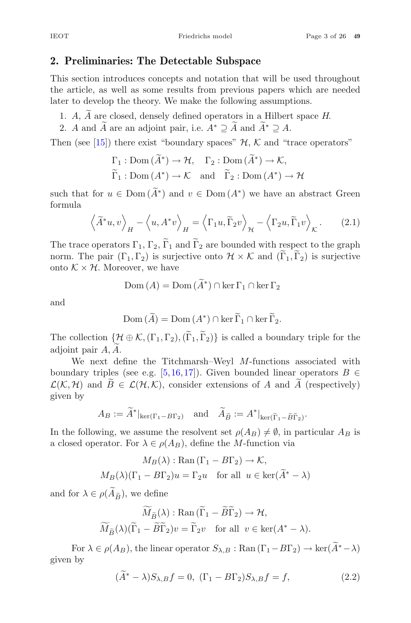#### **2. Preliminaries: The Detectable Subspace**

This section introduces concepts and notation that will be used throughout the article, as well as some results from previous papers which are needed later to develop the theory. We make the following assumptions. **Preliminaries:** The Detectable Subspace<br>is section introduces concepts and notation that will be used thre<br>e article, as well as some results from previous papers which are<br>ter to develop the theory. We make the followin is section introduces concepts and notation that will be<br>
e article, as well as some results from previous papers v<br>
ter to develop the theory. We make the following assumpt<br>
1. A,  $\widetilde{A}$  are closed, densely defined op

- 
- 

Then (see [15]) there exist "boundary spaces"  $H, K$  and "trace operators"

e closed, densely defined operators in a Hilbert sp  
\n
$$
\widetilde{A}
$$
 are an adjoint pair, i.e.  $A^* \supseteq \widetilde{A}$  and  $\widetilde{A}^* \supseteq A$ .  
\n5] there exist "boundary spaces"  $\mathcal{H}, \mathcal{K}$  and "trace  
\n $\Gamma_1 : \text{Dom}(\widetilde{A}^*) \to \mathcal{H}, \quad \Gamma_2 : \text{Dom}(\widetilde{A}^*) \to \mathcal{K},$   
\n $\widetilde{\Gamma}_1 : \text{Dom}(A^*) \to \mathcal{K}$  and  $\widetilde{\Gamma}_2 : \text{Dom}(A^*) \to \mathcal{H}$   
\n $\colon u \in \text{Dom}(\widetilde{A}^*)$  and  $v \in \text{Dom}(A^*)$  we have an a  
\n $\colon u, v \Big\rangle_{\pi} - \langle u, A^* v \rangle_{\pi} = \langle \Gamma_1 u, \widetilde{\Gamma}_2 v \rangle_{\pi} - \langle \Gamma_2 u, \widetilde{\Gamma}_1 u \rangle_{\pi}$ 

Then (see [15]) there exist<br>  $\Gamma_1 : \text{Dom}(\widetilde{A})$ <br>  $\widetilde{\Gamma}_1 : \text{Dom}(\widetilde{A})$ <br>
such that for  $u \in \text{Dom}(\widetilde{A})$ \*) and  $v \in \text{Dom}(A^*)$  we have an abstract Green formula  $\frac{1}{\widetilde{A}}$ such that for  $u \in \text{Dom}(\widetilde{A}^*)$  and  $v \in \text{formula}$ <br>  $\langle \widetilde{A}^*u, v \rangle_H - \langle u, A^*v \rangle_H =$ <br>
The trace operators  $\Gamma_1, \Gamma_2, \widetilde{\Gamma}_1$  and  $\widetilde{\Gamma}$ 

$$
\left\langle \widetilde{A}^* u, v \right\rangle_H - \left\langle u, A^* v \right\rangle_H = \left\langle \Gamma_1 u, \widetilde{\Gamma}_2 v \right\rangle_H - \left\langle \Gamma_2 u, \widetilde{\Gamma}_1 v \right\rangle_K. \tag{2.1}
$$

The trace operators  $\Gamma_1$ ,  $\Gamma_2$ ,  $\Gamma_1$  and  $\Gamma_2$  are bounded with respect to the graph formula  $\langle \tilde{A}^* u, v \rangle_H - \langle u, A^* v \rangle_H = \langle \Gamma_1 u, \tilde{\Gamma}_2 v \rangle_H - \langle \Gamma_2 u, \tilde{\Gamma}_1 v \rangle_K.$  (2.1)<br>The trace operators  $\Gamma_1$ ,  $\Gamma_2$ ,  $\tilde{\Gamma}_1$  and  $\tilde{\Gamma}_2$  are bounded with respect to the graph<br>norm. The pair  $(\Gamma_1, \Gamma_2)$  is surjec onto  $K \times H$ . Moreover, we have<br>  $\text{Dom}(A) = D$ <br>
and<br>  $\text{Dom}(\widetilde{A}) = D$  $H \rightharpoonup H$ <br>  $\text{as } \Gamma_1, \Gamma_2, \widetilde{\Gamma}_1 \text{ and } \widetilde{\Gamma}_2$ <br>  $\Gamma_1, \Gamma_2$ ) is surjective<br>
over, we have<br>  $\text{Dom } (A) = \text{Dom } (\widetilde{A})$ 

$$
Dom (A) = Dom (\tilde{A}^*) \cap \ker \Gamma_1 \cap \ker \Gamma_2
$$

and

over, we have  
Dom 
$$
(A)
$$
 = Dom  $(\widetilde{A}^*) \cap \ker \Gamma_1 \cap \ker \Gamma_2$   
Dom  $(\widetilde{A})$  = Dom  $(A^*) \cap \ker \widetilde{\Gamma}_1 \cap \ker \widetilde{\Gamma}_2$ .

 $Dom (A) = Dom (\tilde{A}^*) \cap \ker \Gamma_1 \cap \ker \Gamma_2$ <br>  $Dom (\tilde{A}) = Dom (A^*) \cap \ker \tilde{\Gamma}_1 \cap \ker \tilde{\Gamma}_2.$ <br>
The collection  $\{\mathcal{H} \oplus \mathcal{K}, (\Gamma_1, \Gamma_2), (\tilde{\Gamma}_1, \tilde{\Gamma}_2)\}$  is called a boundary triple for the and<br>The collection  $\{$ <br>adjoint pair  $A, \widetilde{A}$ adjoint pair A, A.

We next define the Titchmarsh–Weyl M-functions associated with boundary triples (see e.g. [5,16,17]). Given bounded linear operators  $B \in$ The collection  $\{\mathcal{H} \oplus \mathcal{K}, (\Gamma_1, \Gamma_2), (\widetilde{\Gamma}_1, \widetilde{\Gamma}_2)\}$  is called a boundary<br>adjoint pair  $A, \widetilde{A}$ .<br>We next define the Titchmarsh–Weyl M-functions as<br>boundary triples (see e.g. [5,16,17]). Given bounded linear A and  $\widetilde{A}$  (respectively)<br>ker( $\widetilde{\Gamma}_1 - \widetilde{B} \widetilde{\Gamma}_2$ ) given by ext define the Titchmarsh–We<br>
riples (see e.g. [5,16,17]). Give<br>
d  $\widetilde{B} \in \mathcal{L}(\mathcal{H}, \mathcal{K})$ , consider exter<br>  $A_B := \widetilde{A}^*|_{\ker(\Gamma_1 - B\Gamma_2)}$  and  $\widetilde{A}$ ns $\tilde{B}$  $\tilde{r}$ <br> $\tilde{r}$ 

$$
A_B := \widetilde{A}^*|_{\ker(\Gamma_1 - B\Gamma_2)} \quad \text{and} \quad \widetilde{A}_{\widetilde{B}} := A^*|_{\ker(\widetilde{\Gamma}_1 - \widetilde{B}\widetilde{\Gamma}_2)}.
$$

In the following, we assume the resolvent set  $\rho(A_B) \neq \emptyset$ , in particular  $A_B$  is a closed operator. For  $\lambda \in \rho(A_B)$ , define the *M*-function via

In the following, we assume the resolvent set 
$$
\rho(A_B) \neq \emptyset
$$
, in part  
a closed operator. For  $\lambda \in \rho(A_B)$ , define the *M*-function via  
 $M_B(\lambda) : \text{Ran}(\Gamma_1 - B\Gamma_2) \to \mathcal{K}$ ,  
 $M_B(\lambda)(\Gamma_1 - B\Gamma_2)u = \Gamma_2 u$  for all  $u \in \text{ker}(\widetilde{A}^* - \lambda)$   
and for  $\lambda \in \rho(\widetilde{A}_{\widetilde{B}})$ , we define  
 $\widetilde{M}_{\widetilde{B}}(\lambda) : \text{Ran}(\widetilde{\Gamma}_1 - \widetilde{B}\widetilde{\Gamma}_2) \to \mathcal{H}$ ,

$$
M_B(\lambda)(\Gamma_1 - B\Gamma_2)u = \Gamma_2 u \quad \text{for all } u \in \ker(A^* - \lambda)
$$
  
or  $\lambda \in \rho(\widetilde{A}_{\widetilde{B}})$ , we define  

$$
\widetilde{M}_{\widetilde{B}}(\lambda) : \text{Ran}(\widetilde{\Gamma}_1 - \widetilde{B}\widetilde{\Gamma}_2) \to \mathcal{H},
$$

$$
\widetilde{M}_{\widetilde{B}}(\lambda)(\widetilde{\Gamma}_1 - \widetilde{B}\widetilde{\Gamma}_2)v = \widetilde{\Gamma}_2 v \quad \text{for all } v \in \ker(A^* - \lambda).
$$
  
For  $\lambda \in \rho(A_B)$ , the linear operator  $S_{\lambda,B} : \text{Ran}(\Gamma_1 - B\Gamma_2) \to \ker(\widetilde{A}^* - \lambda)$ 

given by  $(\lambda)$ <br> $A_B$ <br> $(\tilde{A})$ 

$$
(\tilde{A}^* - \lambda)S_{\lambda,B}f = 0, \quad (\Gamma_1 - B\Gamma_2)S_{\lambda,B}f = f,\tag{2.2}
$$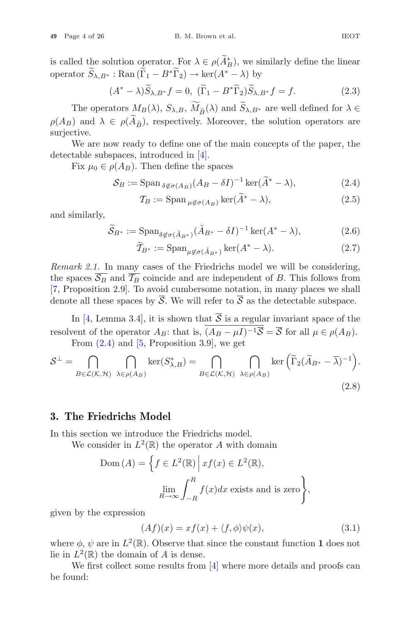**49** Page 4 of 26 B. M. Brown et al. IEOT<br>
is called the solution operator. For  $\lambda \in \rho(\widetilde{A}_{B}^{*})$ , we similarly define the linear<br>
operator  $\widetilde{S}_{\lambda, B^{*}}$ : Ran  $(\widetilde{\Gamma}_{1} - B^{*} \widetilde{\Gamma}_{2}) \to \ker(A^{*} - \lambda)$  by B. M. Brown et al.<br>
blution operator. For  $\lambda \in \rho(\widetilde{A}_{B}^{*})$ , we<br>
: Ran  $(\widetilde{\Gamma}_{1} - B^{*}\widetilde{\Gamma}_{2}) \to \ker(A^{*} - \lambda)$ <br>  $(A^{*} - \lambda)\widetilde{S}_{\lambda, B^{*}}f = 0$ ,  $(\widetilde{\Gamma}_{1} - B^{*}\widetilde{\Gamma}_{2})\widetilde{S}$  $\lambda \in \rho(\widetilde{A}_{B}^{*}), \nu$ <br>  $\rightarrow$  ker $(A^{*} - \lambda)$ <br>  $\widetilde{(\Gamma_1} - B^{*} \widetilde{\Gamma_2})$ <br>  $\widetilde{M}_{\widetilde{B}}(\lambda)$  and  $\widetilde{S}$ 

$$
\therefore \text{ Kan} (\Gamma_1 - B^* \Gamma_2) \to \ker(A^* - \lambda) \text{ by}
$$
  
\n
$$
(A^* - \lambda) \widetilde{S}_{\lambda, B^*} f = 0, \quad (\widetilde{\Gamma}_1 - B^* \widetilde{\Gamma}_2) \widetilde{S}_{\lambda, B^*} f = f. \tag{2.3}
$$
  
\n
$$
\text{ators } M_B(\lambda), S_{\lambda, B}, \widetilde{M}_{\widetilde{B}}(\lambda) \text{ and } \widetilde{S}_{\lambda, B^*} \text{ are well defined for } \lambda \in
$$

be samed and behavior of permitted  $\Gamma$  ( $\Gamma$  ( $\Gamma$ ) by<br>
operator  $\widetilde{S}_{\lambda,B^*}$ : Ran  $(\widetilde{\Gamma}_1 - B^*\widetilde{\Gamma}_2) \to \ker(A^* - \lambda)$  by<br>  $(A^* - \lambda)\widetilde{S}_{\lambda,B^*}f = 0$ ,  $(\widetilde{\Gamma}_1 - B^*\widetilde{\Gamma}_2)\widetilde{S}_{\lambda,1}$ <br>
The operators  $M_B(\lambda), S_{\lambda,B}, \widetilde{M}_{\$ The operators  $M_B(\lambda)$ ,  $S_{\lambda,B}$ ,  $M_{\widetilde{B}}(\lambda)$  and  $S_{\lambda,B^*}$  are well defined for  $\lambda \in$  $(A_{\widetilde{B}})$ , respectively. Moreover, the solution operators are  $\lambda$ <br> $\overline{A}$ <br> $\widetilde{B}$ surjective.

We are now ready to define one of the main concepts of the paper, the detectable subspaces, introduced in [4]. main con y to define one of the maintroduced in [4].<br>
Then define the spaces<br>
Span  $_{\delta \not\in \sigma(A_B)} (A_B - \delta I)^{-1}$ <br>  $T_B :=$  Span  $_{\mu \not\in \sigma(A_B)} \ker(\tilde{A})$ 

Fix  $\mu_0 \in \rho(A_B)$ . Then define the spaces

$$
S_B := \operatorname{Span}_{\delta \notin \sigma(A_B)} (A_B - \delta I)^{-1} \operatorname{ker}(\widetilde{A}^* - \lambda), \tag{2.4}
$$

$$
\mathcal{T}_B := \text{Span}_{\mu \notin \sigma(A_B)} \ker(\widetilde{A}^* - \lambda),\tag{2.5}
$$

and similarly,

$$
S_B := \text{Span}_{\delta \notin \sigma(A_B)} (A_B - \delta I)^{-1} \ker(\widetilde{A}^* - \lambda),
$$
(2.4)  

$$
T_B := \text{Span}_{\mu \notin \sigma(A_B)} \ker(\widetilde{A}^* - \lambda),
$$
(2.5)  

$$
\widetilde{S}_{B^*} := \text{Span}_{\delta \notin \sigma(\widetilde{A}_{B^*})} (\widetilde{A}_{B^*} - \delta I)^{-1} \ker(A^* - \lambda),
$$
(2.6)

$$
\widetilde{T}_{B^*} := \operatorname{Span}_{\mu \notin \sigma(\tilde{A}_{B^*})} \ker(A^* - \lambda). \tag{2.7}
$$

*Remark 2.1.* In many cases of the Friedrichs model we will be considering, the spaces  $\overline{\mathcal{S}_B}$  and  $\overline{\mathcal{T}_B}$  coincide and are independent of B. This follows from [7, Proposition 2.9]. To avoid cumbersome notation, in many places we shall denote all these spaces by  $\overline{S}$ . We will refer to  $\overline{S}$  as the detectable subspace.

In [4, Lemma 3.4], it is shown that  $\overline{S}$  is a regular invariant space of the resolvent of the operator  $A_B$ : that is,  $(A_B - \mu I)^{-1} \overline{S} = \overline{S}$  for all  $\mu \in \rho(A_B)$ .<br>From (2.4) and <sup>[5</sup>. Proposition 2.0] we get From  $(2.4)$  and  $[5,$  Proposition 3.9, we get denote all these spaces by  $\overline{S}$ . We will refer to  $\overline{S}$  as the detectabl<br>
In [4, Lemma 3.4], it is shown that  $\overline{S}$  is a regular invariant<br>
resolvent of the operator  $A_B$ : that is,  $(A_B - \mu I)^{-1} \overline{S} = \overline{S}$  for ri<br>or<br>Γ

$$
S^{\perp} = \bigcap_{B \in \mathcal{L}(\mathcal{K}, \mathcal{H})} \bigcap_{\lambda \in \rho(A_B)} \ker(S_{\lambda, B}^*) = \bigcap_{B \in \mathcal{L}(\mathcal{K}, \mathcal{H})} \bigcap_{\lambda \in \rho(A_B)} \ker \left(\widetilde{\Gamma}_2(\widetilde{A}_{B^*} - \overline{\lambda})^{-1}\right).
$$
\n(2.8)

#### **3. The Friedrichs Model**

In this section we introduce the Friedrichs model.

We consider in  $L^2(\mathbb{R})$  the operator A with domain

**iedrichs Model**  
on we introduce the Friedrichs model.  
isider in 
$$
L^2(\mathbb{R})
$$
 the operator A with domain  
Dom  $(A) = \left\{ f \in L^2(\mathbb{R}) \, \middle| \, xf(x) \in L^2(\mathbb{R}), \atop \lim_{R \to \infty} \int_{-R}^R f(x) dx \text{ exists and is zero} \right\}$ 

given by the expression

$$
(Af)(x) = xf(x) + \langle f, \phi \rangle \psi(x), \tag{3.1}
$$

,

where  $\phi$ ,  $\psi$  are in  $L^2(\mathbb{R})$ . Observe that since the constant function **1** does not lie in  $L^2(\mathbb{R})$  the domain of A is dense.

We first collect some results from [4] where more details and proofs can be found: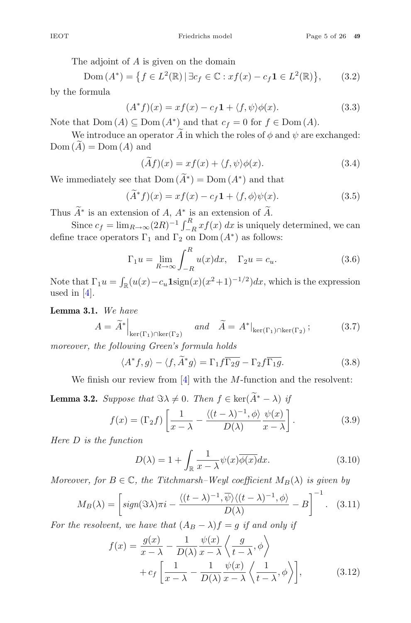The adjoint of A is given on the domain

Friedrichs model Fa<br>
e adjoint of *A* is given on the domain<br>  $\text{Dom}(A^*) = \{ f \in L^2(\mathbb{R}) \mid \exists c_f \in \mathbb{C} : xf(x) - c_f \mathbf{1} \in L^2(\mathbb{R}) \}$  $(3.2)$ by the formula by the formula<br>  $(A^*f)(x) = xf(x) - c_f 1 + \langle f, \psi \rangle \phi(x).$ <br>
Note that Dom  $(A) \subseteq \text{Dom}(A^*)$  and that  $c_f = 0$  for  $f \in \text{Dom}(A)$ .<br>
We introduce an operator  $\widetilde{A}$  in which the roles of  $\phi$  and  $\psi$  are e

$$
(A^*f)(x) = xf(x) - c_f \mathbf{1} + \langle f, \psi \rangle \phi(x). \tag{3.3}
$$

We introduce an operator  $\widetilde{A}$  in which the roles of  $\phi$  and  $\psi$  are exchanged: by the f $\rm Note\ th \ WeDom\ (\widetilde{A}% )\ \subset\ \widetilde{A}\ \ \widetilde{A}$  $Dom(\tilde{A}) = Dom(A)$  and  $J)(3$ <br>Dor<br>oper<br>nd<br> $(\widetilde{A}f$ We introduce an operator  $\widetilde{A}$  in which the roles of  $\phi$  and Dom  $(\widetilde{A}) = \text{Dom}(A)$  and  $(\widetilde{A}f)(x) = xf(x) + \langle f, \psi \rangle \phi(x)$ .<br>We immediately see that  $\text{Dom}(\widetilde{A}^*) = \text{Dom}(A^*)$  and that 4)<br>ee t

$$
(\widetilde{A}f)(x) = xf(x) + \langle f, \psi \rangle \phi(x). \tag{3.4}
$$

 $(\widetilde{A}f)(x) = xf(x) + \langle f, \psi \rangle \phi(x).$ <br>We immediately see that  $\text{Dom}(\widetilde{A}^*) = \text{Dom}(A^*)$  and t<br> $(\widetilde{A}^*f)(x) = xf(x) - c_f \mathbf{1} + \langle f, \phi \rangle \psi(x)$ <br>Thus  $\widetilde{A}^*$  is an extension of  $A$ ,  $A^*$  is an extension of  $\widetilde{A}$ 

$$
(\widetilde{A}^*f)(x) = xf(x) - c_f \mathbf{1} + \langle f, \phi \rangle \psi(x). \tag{3.5}
$$

Thus  $\widetilde{A}^*$  is an extension of A,  $A^*$  is an extension of  $\widetilde{A}$ .

(Af)(x) = xf(x) + \l,  $\psi$ / $\varphi$ (x).<br>
since cf = limR→∞(2R)<sup>-1</sup>  $\int_R^R x f(x) dx$  is uniquely determined, we can<br>
at race operators  $\Gamma$ , and  $\Gamma$  on Dom (A\*) as follows: define trace operators  $\Gamma_1$  and  $\Gamma_2$  on Dom  $(A^*)$  as follows: Since  $c_f = \lim_{R \to \infty} (2R)^{-1} \int_{-R}^{R} x f(x) dx$  is uniquely determined, we can<br>define trace operators  $\Gamma_1$  and  $\Gamma_2$  on Dom  $(A^*)$  as follows:<br> $\Gamma_1 u = \lim_{R \to \infty} \int_{-R}^{R} u(x) dx$ ,  $\Gamma_2 u = c_u$ . (3.6)<br>Note that  $\Gamma_1 u = \int_{\mathbb{R}} (u(x)$ 

$$
(A^*f)(x) = xf(x) - c_f \mathbf{1} + \langle f, \phi \rangle \psi(x).
$$
(3.5)  
ension of *A*, *A*\* is an extension of *A*.  

$$
a_{R \to \infty} (2R)^{-1} \int_{-R}^{R} x f(x) dx
$$
 is uniquely determined, we can  
ors  $\Gamma_1$  and  $\Gamma_2$  on Dom (*A*\*) as follows:  

$$
\Gamma_1 u = \lim_{R \to \infty} \int_{-R}^{R} u(x) dx, \quad \Gamma_2 u = c_u.
$$
(3.6)

used in [4].  $T_1 u = \int_{\mathbb{R}} (u(x) - c_u \operatorname{Isign}(x)(x^2 + 1))$ <br> *A* =  $\widetilde{A}^*$  *A* =  $\widetilde{A}$ 

**Lemma 3.1.** *We have*

We have  
\n
$$
A = \tilde{A}^* \Big|_{\ker(\Gamma_1) \cap \ker(\Gamma_2)} \quad \text{and} \quad \tilde{A} = A^* \Big|_{\ker(\Gamma_1) \cap \ker(\Gamma_2)}; \tag{3.7}
$$
\nthe following Green's formula holds  
\n
$$
\langle A^* f, g \rangle - \langle f, \tilde{A}^* g \rangle = \Gamma_1 f \overline{\Gamma_2 g} - \Gamma_2 f \overline{\Gamma_1 g}. \tag{3.8}
$$

*moreover, the following Green's formula holds*

$$
\langle A^* f, g \rangle - \langle f, \widetilde{A}^* g \rangle = \Gamma_1 f \overline{\Gamma_2 g} - \Gamma_2 f \overline{\Gamma_1 g}.
$$
 (3.8)

We finish our review from  $[4]$  with the *M*-function and the resolvent:

*moreover, the following Green's formula holds*  
\n
$$
\langle A^* f, g \rangle - \langle f, \tilde{A}^* g \rangle = \Gamma_1 f \overline{\Gamma_2 g} - \Gamma_2 f \overline{\Gamma_1 g}.
$$
\n(3.8)  
\nWe finish our review from [4] with the *M*-function and the resolvent:  
\n**Lemma 3.2.** Suppose that  $\Im \lambda \neq 0$ . Then  $f \in \ker(\tilde{A}^* - \lambda)$  if  
\n
$$
f(x) = (\Gamma_2 f) \left[ \frac{1}{x - \lambda} - \frac{\langle (t - \lambda)^{-1}, \phi \rangle}{D(\lambda)} \frac{\psi(x)}{x - \lambda} \right].
$$
\n(3.9)  
\nHere *D* is the function  
\n
$$
D(\lambda) = 1 + \int \frac{1}{\sqrt{D(\lambda)}} \psi(x) \overline{\phi(x)} dx.
$$
\n(3.10)

*Here* D *is the function*

$$
D(\lambda) = 1 + \int_{\mathbb{R}} \frac{1}{x - \lambda} \psi(x) \overline{\phi(x)} dx.
$$
 (3.10)

*Moreover, for*  $B \in \mathbb{C}$ *, the Titchmarsh–Weyl coefficient*  $M_B(\lambda)$  *is given by* μ

*D* is the function  
\n
$$
D(\lambda) = 1 + \int_{\mathbb{R}} \frac{1}{x - \lambda} \psi(x) \overline{\phi(x)} dx.
$$
\n(3.10)  
\n*ver*, *for*  $B \in \mathbb{C}$ , the Titchmarsh–Weyl coefficient  $M_B(\lambda)$  is given by  
\n
$$
M_B(\lambda) = \left[ sign(\Im \lambda) \pi i - \frac{\langle (t - \lambda)^{-1}, \overline{\psi} \rangle \langle (t - \lambda)^{-1}, \phi \rangle}{D(\lambda)} - B \right]^{-1}.
$$
\n(3.11)  
\n*e resolvent*, we have that  $(A_B - \lambda) f = g$  if and only if  
\n
$$
f(x) = \frac{g(x)}{x - \lambda} - \frac{1}{D(\lambda)} \frac{\psi(x)}{x - \lambda} \left\langle \frac{g}{t - \lambda}, \phi \right\rangle
$$

*For the resolvent, we have that*  $(A_B - \lambda) f = g$  *if and only if* 

$$
= \begin{bmatrix} sign(\Im \lambda) \pi i - \frac{\Im \lambda}{D(\lambda)} & -B \end{bmatrix} \quad . \quad (3.11)
$$
  
ent, we have that  $(A_B - \lambda) f = g$  if and only if  

$$
f(x) = \frac{g(x)}{x - \lambda} - \frac{1}{D(\lambda)} \frac{\psi(x)}{x - \lambda} \left\langle \frac{g}{t - \lambda}, \phi \right\rangle
$$

$$
+ c_f \left[ \frac{1}{x - \lambda} - \frac{1}{D(\lambda)} \frac{\psi(x)}{x - \lambda} \left\langle \frac{1}{t - \lambda}, \phi \right\rangle \right], \quad (3.12)
$$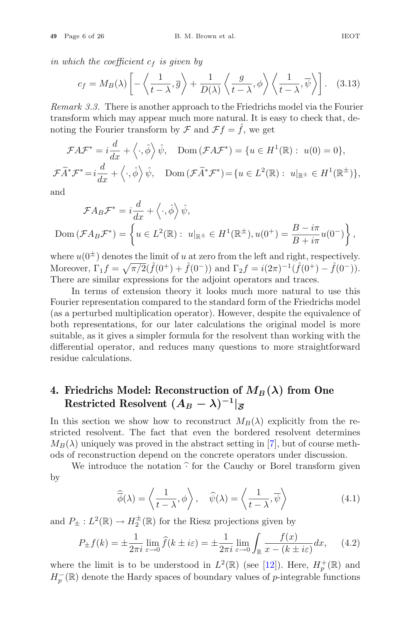*in which the coefficient*  $c_f$  *is given by* 

1EOT

\nch the coefficient 
$$
c_f
$$
 is given by

\n
$$
c_f = M_B(\lambda) \left[ -\left\langle \frac{1}{t-\lambda}, \overline{g} \right\rangle + \frac{1}{D(\lambda)} \left\langle \frac{g}{t-\lambda}, \phi \right\rangle \left\langle \frac{1}{t-\lambda}, \overline{\psi} \right\rangle \right]. \quad (3.13)
$$

*Remark 3.3.* There is another approach to the Friedrichs model via the Fourier transform which may appear much more natural. It is easy to check that, denoting the Fourier transform by  $\mathcal F$  and  $\mathcal F f = \hat f$ , we get

\n transform which may appear much more natural. It is easy to check that, denoting the Fourier transform by 
$$
\mathcal{F}
$$
 and  $\mathcal{F}f = \hat{f}$ , we get\n

\n\n
$$
\mathcal{F}A\mathcal{F}^* = i\frac{d}{dx} + \langle \cdot, \hat{\phi} \rangle \hat{\psi}, \quad \text{Dom}(\mathcal{F}A\mathcal{F}^*) = \{ u \in H^1(\mathbb{R}) : u(0) = 0 \},
$$
\n

\n\n
$$
\mathcal{F}\tilde{A}^*\mathcal{F}^* = i\frac{d}{dx} + \langle \cdot, \hat{\phi} \rangle \hat{\psi}, \quad \text{Dom}(\mathcal{F}\tilde{A}^*\mathcal{F}^*) = \{ u \in L^2(\mathbb{R}) : u|_{\mathbb{R}^{\pm}} \in H^1(\mathbb{R}^{\pm}) \},
$$
\n

and

$$
\mathcal{F}\widetilde{A}^*\mathcal{F}^* = i\frac{d}{dx} + \langle \cdot, \hat{\phi} \rangle \hat{\psi}, \quad \text{Dom}(\mathcal{F}\widetilde{A}^*\mathcal{F}^*) = \{u \in L^2(\mathbb{R}) : u|_{\mathbb{R}^\pm} \in H^1(\mathbb{R}^\pm)\}
$$
  
and  

$$
\mathcal{F}A_B\mathcal{F}^* = i\frac{d}{dx} + \langle \cdot, \hat{\phi} \rangle \hat{\psi},
$$
  
Dom
$$
(\mathcal{F}A_B\mathcal{F}^*) = \left\{u \in L^2(\mathbb{R}) : u|_{\mathbb{R}^\pm} \in H^1(\mathbb{R}^\pm), u(0^+) = \frac{B - i\pi}{B + i\pi}u(0^-)\right\},
$$

where  $u(0^{\pm})$  denotes the limit of u at zero from the left and right, respectively. Moreover,  $\Gamma_1 f = \sqrt{\pi/2}(\hat{f}(0^+) + \hat{f}(0^-))$  and  $\Gamma_2 f = i(2\pi)^{-1}(\hat{f}(0^+) - \hat{f}(0^-)).$ There are similar expressions for the adjoint operators and traces.

In terms of extension theory it looks much more natural to use this Fourier representation compared to the standard form of the Friedrichs model (as a perturbed multiplication operator). However, despite the equivalence of both representations, for our later calculations the original model is more suitable, as it gives a simpler formula for the resolvent than working with the differential operator, and reduces many questions to more straightforward residue calculations.

#### **4. Friedrichs Model: Reconstruction of**  $M_B(\lambda)$  from One **Restricted Resolvent**  $(A_B - \lambda)^{-1}$  $|\overline{S}|$

In this section we show how to reconstruct  $M_B(\lambda)$  explicitly from the restricted resolvent. The fact that even the bordered resolvent determines  $M_B(\lambda)$  uniquely was proved in the abstract setting in [7], but of course m stricted resolvent. The fact that even the bordered resolvent determines  $M_B(\lambda)$  uniquely was proved in the abstract setting in [7], but of course meth-<br>ada of reconstruction dapard on the concrete exerctor under discussion ods of reconstruction depend on the concrete operators under discussion. t. The fact that even the border<br>was proved in the abstract setting is<br>tion depend on the concrete operar<br>ice the notation  $\hat{\cdot}$  for the Cauchy  $\hat{\cdot}$ <br> $\hat{\phi}(\lambda) = \left\langle \frac{1}{t - \lambda}, \phi \right\rangle$ ,  $\hat{\psi}(\lambda) = \left\langle \frac{1}{t - \lambda}, \phi \right\rangle$ 

by

$$
\widehat{\overline{\phi}}(\lambda) = \left\langle \frac{1}{t - \lambda}, \phi \right\rangle, \quad \widehat{\psi}(\lambda) = \left\langle \frac{1}{t - \lambda}, \overline{\psi} \right\rangle
$$
\n(4.1)

and  $P_{\pm}: L^2(\mathbb{R}) \to H_2^{\pm}(\mathbb{R})$  for the Riesz projections given by

$$
P_{\pm}f(k) = \pm \frac{1}{2\pi i} \lim_{\varepsilon \to 0} \hat{f}(k \pm i\varepsilon) = \pm \frac{1}{2\pi i} \lim_{\varepsilon \to 0} \int_{\mathbb{R}} \frac{f(x)}{x - (k \pm i\varepsilon)} dx, \quad (4.2)
$$

where the limit is to be understood in  $L^2(\mathbb{R})$  (see [12]). Here,  $H_p^+(\mathbb{R})$  and  $H^-(\mathbb{R})$  denote the Hardy grasses of boundary values of a integrable functions  $H_p^-(\mathbb{R})$  denote the Hardy spaces of boundary values of *p*-integrable functions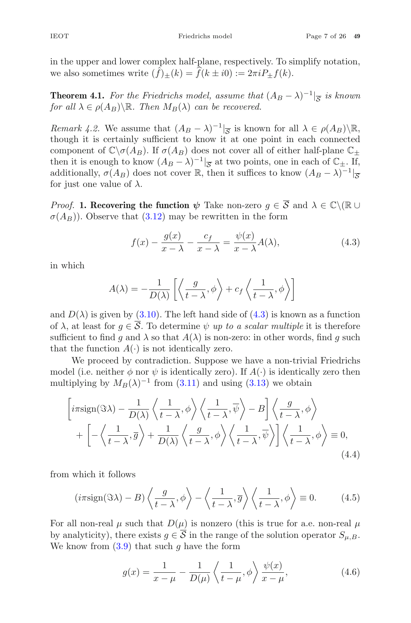in the upper and lower complex half-plane, respectively. To simplify notation, we also sometimes write  $(\hat{f})_{\pm}(k) = \hat{f}(k \pm i0) := 2\pi i P_{\pm}f(k)$ .

**Theorem 4.1.** *For the Friedrichs model, assume that*  $(A_B - \lambda)^{-1}$ <sub> $\leq$ </sub> *is known for all*  $\lambda \in \rho(A_B) \backslash \mathbb{R}$ *. Then*  $M_B(\lambda)$  *can be recovered.* 

*Remark 4.2.* We assume that  $(A_B - \lambda)^{-1}$ <sub> $\overline{S}$ </sub> is known for all  $\lambda \in \rho(A_B) \backslash \mathbb{R}$ , though it is certainly sufficient to know it at one point in each connected component of  $\mathbb{C}\backslash \sigma(A_B)$ . If  $\sigma(A_B)$  does not cover all of either half-plane  $\mathbb{C}_+$ then it is enough to know  $(A_B - \lambda)^{-1}$ <sub> $\overline{S}$ </sub> at two points, one in each of  $\mathbb{C}_{\pm}$ . If, additionally,  $\sigma(A_B)$  does not cover R, then it suffices to know  $(A_B - \lambda)^{-1}|_{\overline{S}}$ for just one value of  $\lambda$ .

*Proof.* **1. Recovering the function**  $\psi$  Take non-zero  $g \in \overline{S}$  and  $\lambda \in \mathbb{C} \setminus (\mathbb{R} \cup$  $\sigma(A_B)$ ). Observe that (3.12) may be rewritten in the form  $\mathcal{L}$ 

$$
f(x) - \frac{g(x)}{x - \lambda} - \frac{c_f}{x - \lambda} = \frac{\psi(x)}{x - \lambda} A(\lambda),
$$
\n(4.3)

in which

$$
f(x) - \frac{g(x)}{x - \lambda} - \frac{c_f}{x - \lambda} = \frac{\psi(x)}{x - \lambda} A(\lambda),
$$

$$
A(\lambda) = -\frac{1}{D(\lambda)} \left[ \left\langle \frac{g}{t - \lambda}, \phi \right\rangle + c_f \left\langle \frac{1}{t - \lambda}, \phi \right\rangle \right]
$$

and  $D(\lambda)$  is given by (3.10). The left hand side of (4.3) is known as a function of  $\lambda$ , at least for  $g \in \mathcal{S}$ . To determine  $\psi$  up to a scalar multiple it is therefore sufficient to find g and  $\lambda$  so that  $A(\lambda)$  is non-zero: in other words, find g such<br>that the function  $A(\cdot)$  is not identically zero. that the function  $A(\cdot)$  is not identically zero.

We proceed by contradiction. Suppose we have a non-trivial Friedrichs model (i.e. neither  $\phi$  nor  $\psi$  is identically zero). If  $A(\cdot)$  is identically zero then multiplying by  $M_B(\lambda)^{-1}$  from (3.11) and using (3.13) we obtain ot identically zero.<br>
diction. Suppose we have a r<br>
is identically zero). If  $A(\cdot)$  is<br>
com (3.11) and using (3.13) w<br>  $\frac{1}{t-\lambda}, \phi \rangle \left\langle \frac{1}{t-\lambda}, \overline{\psi} \right\rangle - B \bigg] \left\langle \frac{1}{t-\lambda}, \phi \right\rangle$ on-trivial<br>identically<br>e obtain<br> $\left.\frac{g}{t-\lambda},\phi\right\rangle$ 

lel (i.e. neither 
$$
\phi
$$
 nor  $\psi$  is identically zero). If  $A(\cdot)$  is identically zero then  
tiplying by  $M_B(\lambda)^{-1}$  from (3.11) and using (3.13) we obtain  

$$
\left[ i\pi \operatorname{sign}(\Im \lambda) - \frac{1}{D(\lambda)} \left\langle \frac{1}{t - \lambda}, \phi \right\rangle \left\langle \frac{1}{t - \lambda}, \overline{\psi} \right\rangle - B \right] \left\langle \frac{g}{t - \lambda}, \phi \right\rangle
$$

$$
+ \left[ -\left\langle \frac{1}{t - \lambda}, \overline{g} \right\rangle + \frac{1}{D(\lambda)} \left\langle \frac{g}{t - \lambda}, \phi \right\rangle \left\langle \frac{1}{t - \lambda}, \overline{\psi} \right\rangle \right] \left\langle \frac{1}{t - \lambda}, \phi \right\rangle \equiv 0,
$$
(4.4)  
a which it follows  

$$
(i\pi \operatorname{sign}(\Im \lambda) - B) \left\langle \frac{g}{t - \lambda}, \phi \right\rangle - \left\langle \frac{1}{t - \lambda}, \overline{g} \right\rangle \left\langle \frac{1}{t - \lambda}, \phi \right\rangle \equiv 0.
$$
(4.5)

from which it follows

$$
(i\pi \text{sign}(\Im \lambda) - B) \left\langle \frac{g}{t - \lambda}, \phi \right\rangle - \left\langle \frac{1}{t - \lambda}, \overline{g} \right\rangle \left\langle \frac{1}{t - \lambda}, \phi \right\rangle \equiv 0. \tag{4.5}
$$

For all non-real  $\mu$  such that  $D(\mu)$  is nonzero (this is true for a.e. non-real  $\mu$ by analyticity), there exists  $g \in \mathcal{S}$  in the range of the solution operator  $S_{\mu,B}$ . We know from  $(3.9)$  that such g have the form  $\sqrt{t - \lambda}$ <br>his is true<br>of the solu<br> $, \phi$   $\rangle \frac{\psi(x)}{\psi(x)}$ 

$$
g(x) = \frac{1}{x - \mu} - \frac{1}{D(\mu)} \left\langle \frac{1}{t - \mu}, \phi \right\rangle \frac{\psi(x)}{x - \mu},
$$
\n(4.6)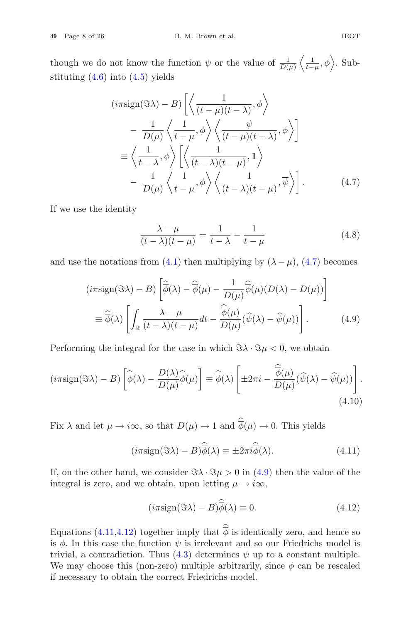though we do not know the function  $\psi$  or the value of  $\frac{1}{D(\mu)}$  $\sqrt{1}$  $\frac{1}{t-\mu}, \phi$ . Substituting  $(4.6)$  into  $(4.5)$  yields lue  $\langle , \phi \rangle$ 

not know the function 
$$
\psi
$$
 or the value of  $\overline{D(\mu)} \langle \overline{t-\mu}, \varphi \rangle$ . Sub-  
\ninto (4.5) yields  
\n
$$
(i\pi \operatorname{sign}(\Im \lambda) - B) \left[ \langle \frac{1}{(t-\mu)(t-\lambda)}, \varphi \rangle \right]
$$
\n
$$
- \frac{1}{D(\mu)} \langle \frac{1}{t-\mu}, \varphi \rangle \langle \frac{\psi}{(t-\mu)(t-\lambda)}, \varphi \rangle \right]
$$
\n
$$
\equiv \langle \frac{1}{t-\lambda}, \varphi \rangle \left[ \langle \frac{1}{(t-\lambda)(t-\mu)}, 1 \rangle \right]
$$
\n
$$
- \frac{1}{D(\mu)} \langle \frac{1}{t-\mu}, \varphi \rangle \langle \frac{1}{(t-\lambda)(t-\mu)}, \overline{\psi} \rangle \right].
$$
\n(4.7)

If we use the identity

$$
\frac{\lambda - \mu}{(t - \lambda)(t - \mu)} = \frac{1}{t - \lambda} - \frac{1}{t - \mu}
$$
(4.8)  
from (4.1) then multiplying by  $(\lambda - \mu)$ , (4.7) becomes  
- B)  $\left[ \hat{\vec{\phi}}(\lambda) - \hat{\vec{\phi}}(\mu) - \frac{1}{D(\mu)} \hat{\vec{\phi}}(\mu)(D(\lambda) - D(\mu)) \right]$ 

and use the notations from (4.1) then multiplying by  $(\lambda - \mu)$ , (4.7) becomes

the notations from (4.1) then multiplying by 
$$
(\lambda - \mu)
$$
, (4.7) becomes  
\n
$$
(i\pi \text{sign}(\Im \lambda) - B) \left[ \hat{\overline{\phi}}(\lambda) - \hat{\overline{\phi}}(\mu) - \frac{1}{D(\mu)} \hat{\overline{\phi}}(\mu) (D(\lambda) - D(\mu)) \right]
$$
\n
$$
\equiv \hat{\overline{\phi}}(\lambda) \left[ \int_{\mathbb{R}} \frac{\lambda - \mu}{(t - \lambda)(t - \mu)} dt - \frac{\hat{\overline{\phi}}(\mu)}{D(\mu)} (\hat{\psi}(\lambda) - \hat{\psi}(\mu)) \right].
$$
\n(4.9)  
\nng the integral for the case in which  $\Im \lambda \cdot \Im \mu < 0$ , we obtain  
\n
$$
\Im \lambda) - B) \left[ \hat{\overline{\phi}}(\lambda) - \frac{D(\lambda)}{D(\mu)} \hat{\overline{\phi}}(\mu) \right] \equiv \hat{\overline{\phi}}(\lambda) \left[ \pm 2\pi i - \frac{\hat{\overline{\phi}}(\mu)}{D(\mu)} (\hat{\psi}(\lambda) - \hat{\psi}(\mu)) \right]
$$

Performing the integral for the case in which  $\Im \lambda \cdot \Im \mu < 0$ , we obtain

$$
= \psi(\lambda) \left[ \int_{\mathbb{R}} \overline{(t - \lambda)(t - \mu)} du - \overline{D(\mu)} (\psi(\lambda) - \psi(\mu)) \right].
$$
\nPerforming the integral for the case in which  $\Im \lambda \cdot \Im \mu < 0$ , we obtain

\n
$$
(i\pi \mathrm{sign}(\Im \lambda) - B) \left[ \widehat{\overline{\phi}}(\lambda) - \frac{D(\lambda)}{D(\mu)} \widehat{\overline{\phi}}(\mu) \right] \equiv \widehat{\overline{\phi}}(\lambda) \left[ \pm 2\pi i - \frac{\widehat{\overline{\phi}}(\mu)}{D(\mu)} (\widehat{\psi}(\lambda) - \widehat{\psi}(\mu)) \right].
$$
\n(4.10)

\nFix  $\lambda$  and let  $\mu \to i\infty$ , so that  $D(\mu) \to 1$  and  $\widehat{\overline{\phi}}(\mu) \to 0$ . This yields

$$
\begin{aligned}\n(4.10) \\
\infty, \text{ so that } D(\mu) \to 1 \text{ and } \hat{\phi}(\mu) \to 0. \text{ This yields} \\
(i\pi \text{sign}(\Im \lambda) - B)\hat{\phi}(\lambda) &\equiv \pm 2\pi i \hat{\phi}(\lambda).\n\end{aligned}
$$

If, on the other hand, we consider  $\Im \lambda \cdot \Im \mu > 0$  in (4.9) then the value of the integral is zero, and we obtain, upon letting  $\mu \rightarrow i\infty$ , Equations (4.11,4.12) together imply that  $\hat{\phi}$  is identically zero, and hence so<br>Equations (4.11,4.12) together imply that  $\hat{\phi}$  is identically zero, and hence so

$$
(i\pi \text{sign}(\Im \lambda) - B)\widehat{\overline{\phi}}(\lambda) \equiv 0. \tag{4.12}
$$

is  $\phi$ . In this case the function  $\psi$  is irrelevant and so our Friedrichs model is trivial, a contradiction. Thus  $(4.3)$  determines  $\psi$  up to a constant multiple. We may choose this (non-zero) multiple arbitrarily, since  $\phi$  can be rescaled if necessary to obtain the correct Friedrichs model.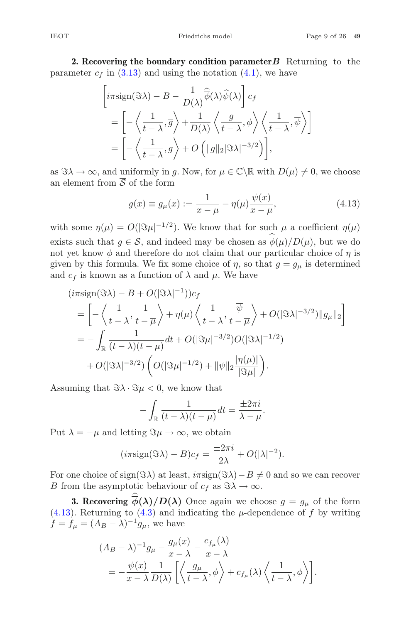**2. Recovering the boundary condition parameter***B* Returning to the parameter  $c_f$  in (3.13) and using the notation (4.1), we have  $\begin{align} \text{dition pan} \ \widehat{\overline{\phi}}(\lambda)\widehat{\psi}(\lambda) \end{align}$ 

\n
$$
\begin{aligned}\n &\text{vering the boundary condition parameter } B \quad \text{Return } \{1, 3, 13\} \text{ and using the notation (4.1), we have} \\
 &\left[ i\pi \text{sign}(\Im \lambda) - B - \frac{1}{D(\lambda)} \widehat{\phi}(\lambda) \widehat{\psi}(\lambda) \right] c_f \\
 &= \left[ -\left\langle \frac{1}{t-\lambda}, \overline{g} \right\rangle + \frac{1}{D(\lambda)} \left\langle \frac{g}{t-\lambda}, \phi \right\rangle \left\langle \frac{1}{t-\lambda}, \overline{\psi} \right\rangle \right] \\
 &= \left[ -\left\langle \frac{1}{t-\lambda}, \overline{g} \right\rangle + O\left( \|g\|_2 |\Im \lambda|^{-3/2} \right) \right],\n \end{aligned}
$$
\n

as  $\Im \lambda \to \infty$ , and uniformly in g. Now, for  $\mu \in \mathbb{C} \setminus \mathbb{R}$  with  $D(\mu) \neq 0$ , we choose an element from  $\overline{S}$  of the form

$$
g(x) \equiv g_{\mu}(x) := \frac{1}{x - \mu} - \eta(\mu) \frac{\psi(x)}{x - \mu},
$$
\n(4.13)

with some  $\eta(\mu) = O(|\Im \mu|^{-1/2})$ . We know that for such  $\mu$  a coefficient  $\eta(\mu)$ an element from 3 of the form<br>  $g(x) \equiv g_{\mu}(x) := \frac{1}{x - \mu} - \eta(\mu) \frac{\psi(x)}{x - \mu},$  (4.13)<br>
with some  $\eta(\mu) = O(|\Im \mu|^{-1/2})$ . We know that for such  $\mu$  a coefficient  $\eta(\mu)$ <br>
exists such that  $g \in \overline{S}$ , and indeed may be chosen a not yet know  $\phi$  and therefore do not claim that our particular choice of  $\eta$  is given by this formula. We fix some choice of  $\eta$ , so that  $g = g_{\mu}$  is determined and  $c_f$  is known as a function of  $\lambda$  and  $\mu$ . We have

$$
(i\pi \text{sign}(\Im \lambda) - B + O(|\Im \lambda|^{-1}))c_f
$$
  
=  $\left[ -\left\langle \frac{1}{t-\lambda}, \frac{1}{t-\overline{\mu}} \right\rangle + \eta(\mu) \left\langle \frac{1}{t-\lambda}, \frac{\overline{\psi}}{t-\overline{\mu}} \right\rangle + O(|\Im \lambda|^{-3/2}) ||g_{\mu}||_2 \right]$   
=  $-\int_{\mathbb{R}} \frac{1}{(t-\lambda)(t-\mu)} dt + O(|\Im \mu|^{-3/2}) O(|\Im \lambda|^{-1/2})$   
+  $O(|\Im \lambda|^{-3/2}) \left( O(|\Im \mu|^{-1/2}) + ||\psi||_2 \frac{|\eta(\mu)|}{|\Im \mu|} \right).$ 

Assuming that  $\Im \lambda \cdot \Im \mu < 0$ , we know that

$$
-\int_{\mathbb{R}}\frac{1}{(t-\lambda)(t-\mu)}dt=\frac{\pm 2\pi i}{\lambda-\mu}.
$$

Put  $\lambda = -\mu$  and letting  $\Im \mu \to \infty$ , we obtain

$$
(i\pi \text{sign}(\Im \lambda) - B)c_f = \frac{\pm 2\pi i}{2\lambda} + O(|\lambda|^{-2}).
$$

For one choice of sign( $\Im \lambda$ ) at least,  $i\pi sign(\Im \lambda) - B \neq 0$  and so we can recover B from the asymptotic behaviour of  $c_f$  as  $\Im \lambda \to \infty$ .  $(i\pi \text{sign}(\Im \lambda) - B)c_f = \frac{\pm 2\pi i}{2\lambda} + O(|\lambda|^{-2}).$ <br>
the choice of sign( $\Im \lambda$ ) at least,  $i\pi \text{sign}(\Im \lambda) - B \neq 0$  and so we can recover<br>
im the asymptotic behaviour of  $c_f$  as  $\Im \lambda \to \infty$ .<br> **3. Recovering**  $\hat{\overline{\phi}}(\lambda)/D(\lambda)$  Once a

 $f = f_{\mu} = (A_B - \lambda)^{-1} g_{\mu}$ , we have

(4.13). Returning to (4.3) and indicating the 
$$
\mu
$$
-dependence of  $f$  by writing  
\n
$$
f = f_{\mu} = (A_B - \lambda)^{-1} g_{\mu}
$$
, we have  
\n
$$
(A_B - \lambda)^{-1} g_{\mu} - \frac{g_{\mu}(x)}{x - \lambda} - \frac{c_{f_{\mu}}(\lambda)}{x - \lambda}
$$
\n
$$
= -\frac{\psi(x)}{x - \lambda} \frac{1}{D(\lambda)} \left[ \left\langle \frac{g_{\mu}}{t - \lambda}, \phi \right\rangle + c_{f_{\mu}}(\lambda) \left\langle \frac{1}{t - \lambda}, \phi \right\rangle \right].
$$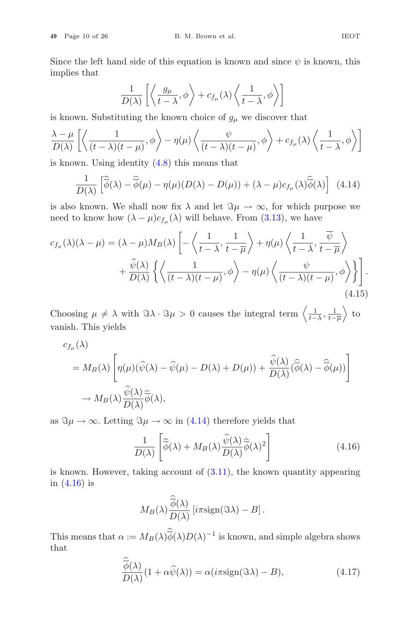Since the left hand side of this equation is known and since  $\psi$  is known, this implies that

B. M. Brown et al.  
\nd side of this equation is known and sin  
\n
$$
\frac{1}{D(\lambda)} \left[ \left\langle \frac{g_{\mu}}{t - \lambda}, \phi \right\rangle + c_{f_{\mu}}(\lambda) \left\langle \frac{1}{t - \lambda}, \phi \right\rangle \right]
$$
\nuting the known choice of  $g_{\mu}$  we discover

\n
$$
\frac{1}{(t - \lambda)^2} \left\langle \phi \right\rangle - \eta(\mu) \left\langle \frac{\psi}{(t - \lambda)^2 (t - \lambda)^2} \right\rangle \phi \right\rangle +
$$

is known. Substituting the known choice of  $g_{\mu}$  we discover that Ĩ

implies that

\n
$$
\frac{1}{D(\lambda)} \left[ \left\langle \frac{g_{\mu}}{t - \lambda}, \phi \right\rangle + c_{f_{\mu}}(\lambda) \left\langle \frac{1}{t - \lambda}, \phi \right\rangle \right]
$$
\nis known. Substituting the known choice of  $g_{\mu}$  we discover that

\n
$$
\frac{\lambda - \mu}{D(\lambda)} \left[ \left\langle \frac{1}{(t - \lambda)(t - \mu)}, \phi \right\rangle - \eta(\mu) \left\langle \frac{\psi}{(t - \lambda)(t - \mu)}, \phi \right\rangle + c_{f_{\mu}}(\lambda) \left\langle \frac{1}{t - \lambda}, \phi \right\rangle \right]
$$
\nis known. Using identity (4.8) this means that

\n
$$
\frac{1}{D(\lambda)} \left[ \widehat{\phi}(\lambda) - \widehat{\phi}(\mu) - \eta(\mu)(D(\lambda) - D(\mu)) + (\lambda - \mu)c_{f_{\mu}}(\lambda) \widehat{\phi}(\lambda) \right] \tag{4.14}
$$

is known. Using identity (4.8) this means that

$$
\frac{1}{D(\lambda)} \left[ \widehat{\overline{\phi}}(\lambda) - \widehat{\overline{\phi}}(\mu) - \eta(\mu)(D(\lambda) - D(\mu)) + (\lambda - \mu)c_{f_{\mu}}(\lambda)\widehat{\overline{\phi}}(\lambda) \right] (4.14)
$$

is also known. We shall now fix 
$$
\lambda
$$
 and let  $\Im \mu \to \infty$ , for which purpose we  
need to know how  $(\lambda - \mu)c_{f_{\mu}}(\lambda)$  will behave. From (3.13), we have  

$$
c_{f_{\mu}}(\lambda)(\lambda - \mu) = (\lambda - \mu)M_B(\lambda) \left[ -\left\langle \frac{1}{t - \lambda}, \frac{1}{t - \overline{\mu}} \right\rangle + \eta(\mu) \left\langle \frac{1}{t - \lambda}, \frac{\overline{\psi}}{t - \overline{\mu}} \right\rangle \right.
$$

$$
+ \frac{\widehat{\psi}(\lambda)}{D(\lambda)} \left\{ \left\langle \frac{1}{(t - \lambda)(t - \mu)}, \phi \right\rangle - \eta(\mu) \left\langle \frac{\psi}{(t - \lambda)(t - \mu)}, \phi \right\rangle \right\} \right].
$$
(4.15)  
Choosing  $\mu \neq \lambda$  with  $\Im \lambda \cdot \Im \mu > 0$  causes the integral term  $\left\langle \frac{1}{t - \lambda}, \frac{1}{t - \overline{\mu}} \right\rangle$  to

vanish. This yields

$$
\begin{aligned}\n\text{cosing } \mu \neq \lambda \text{ with } \Im \lambda \cdot \Im \mu > 0 \text{ causes the integral term } \left\langle \frac{1}{t-\lambda}, \frac{1}{t-\overline{\mu}} \right\rangle \text{ to} \\
\text{tish. This yields} \\
c_{f\mu}(\lambda) \\
= M_B(\lambda) \left[ \eta(\mu)(\widehat{\psi}(\lambda) - \widehat{\psi}(\mu) - D(\lambda) + D(\mu)) + \frac{\widehat{\psi}(\lambda)}{D(\lambda)} (\widehat{\phi}(\lambda) - \widehat{\phi}(\mu)) \right] \\
\to M_B(\lambda) \frac{\widehat{\psi}(\lambda)}{D(\lambda)} \widehat{\phi}(\lambda), \\
\Im \mu \to \infty. \text{ Letting } \Im \mu \to \infty \text{ in (4.14) therefore yields that} \\
1 \quad \left[ \widehat{\div}_{\lambda}(\lambda) + M_{\lambda}(\lambda) \widehat{\psi}(\lambda) \widehat{\div}_{\lambda}(\lambda)^{2} \right]\n\end{aligned}
$$
\n(4.16)

as  $\Im \mu \to \infty$ . Letting  $\Im \mu \to \infty$  in (4.14) therefore yields that

$$
\frac{1}{D(\lambda)} \left[ \widehat{\overline{\phi}}(\lambda) + M_B(\lambda) \frac{\widehat{\psi}(\lambda)}{D(\lambda)} \widehat{\overline{\phi}}(\lambda)^2 \right]
$$
(4.16)

is known. However, taking account of  $(3.11)$ , the known quantity appearing in (4.16) is

$$
M_B(\lambda)\frac{\widehat{\overline{\phi}}(\lambda)}{D(\lambda)}\left[i\pi\mathrm{sign}(\Im \lambda)-B\right].
$$

This means that  $\alpha := M_B(\lambda) \overline{\phi}(\lambda) D(\lambda)^{-1}$  is known, and simple algebra shows that  $M_B(\lambda)\hat{\phi}(\lambda)D(\lambda)^{-1}$  is known, and simple algebra shows<br>  $(1 + \alpha \hat{\psi}(\lambda)) = \alpha(i\pi \text{sign}(\Im \lambda) - B),$  (4.17)

$$
\frac{\overline{\widehat{\phi}}(\lambda)}{D(\lambda)}(1 + \alpha \widehat{\psi}(\lambda)) = \alpha(i\pi \text{sign}(\Im \lambda) - B),
$$
\n(4.17)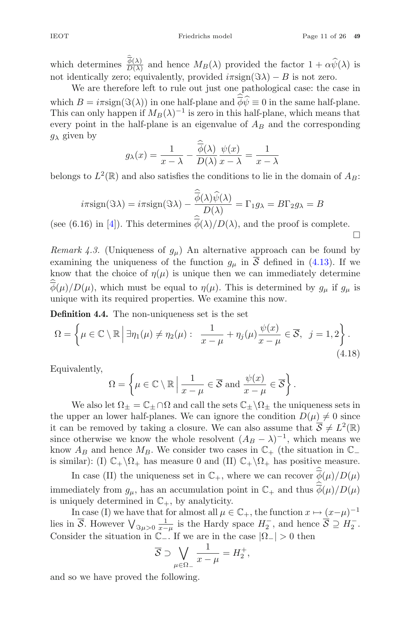$\Box$ 

IEOT<br>which determines  $\frac{\hat{\vec{\phi}}(\lambda)}{D(\lambda)}$ Friedrichs model Page 11 of 26 49<br>  $\frac{\hat{\phi}(\lambda)}{D(\lambda)}$  and hence  $M_B(\lambda)$  provided the factor  $1 + \alpha \hat{\psi}(\lambda)$  is<br>  $D$ : conjugative provided  $\langle \pi \text{eigen}(\hat{\chi}) \rangle$ .  $B$  is not zero. not identically zero; equivalently, provided  $i\pi \text{sign}(\Im \lambda) - B$  is not zero.

We are therefore left to rule out just one pathological case: the case in which determines  $\frac{\hat{\phi}(\lambda)}{D(\lambda)}$  and hence  $M_B(\lambda)$  provided the factor  $1 + \alpha \hat{\psi}(\lambda)$  is<br>not identically zero; equivalently, provided  $i\pi \text{sign}(\Im \lambda) - B$  is not zero.<br>We are therefore left to rule out just one pathologica This can only happen if  $M_B(\lambda)^{-1}$  is zero in this half-plane, which means that every point in the half-plane is an eigenvalue of  $A_B$  and the corresponding  $g_{\lambda}$  given by which  $B = i\pi \text{sign}(\Im(\lambda))$  in one half-plane and  $\overline{\phi}\widehat{\psi} \equiv 0$  in the same half-plane.

$$
g_{\lambda}(x) = \frac{1}{x - \lambda} - \frac{\widehat{\overline{\phi}}(\lambda)}{D(\lambda)} \frac{\psi(x)}{x - \lambda} = \frac{1}{x - \lambda}
$$
  
and also satisfies the conditions to lie in  

$$
\widehat{\overline{\phi}}(\lambda)\widehat{\psi}(\lambda)
$$

belongs to  $L^2(\mathbb{R})$  and also satisfies the conditions to lie in the domain of  $A_B$ :

belongs to 
$$
L^2(\mathbb{R})
$$
 and also satisfies the conditions to lie in the domain  
\n
$$
i\pi \text{sign}(\Im \lambda) = i\pi \text{sign}(\Im \lambda) - \frac{\widehat{\overline{\phi}}(\lambda)\widehat{\psi}(\lambda)}{D(\lambda)} = \Gamma_1 g_{\lambda} = B\Gamma_2 g_{\lambda} = B
$$
\n(see (6.16) in [4]). This determines  $\widehat{\overline{\phi}}(\lambda)/D(\lambda)$ , and the proof is com-

(see (6.16) in [4]). This determines  $\phi(\lambda)/D(\lambda)$ , and the proof is complete. Ĩ.

*Remark 4.3.* (Uniqueness of  $g_{\mu}$ ) An alternative approach can be found by examining the uniqueness of the function  $g_{\mu}$  in  $\overline{S}$  defined in (4.13). If we know that the choice of  $\eta(\mu)$  is unique then we can immediately determine  $\phi(\mu)/D(\mu)$ , which must be equal to  $\eta(\mu)$ . This is determined by  $g_{\mu}$  if  $g_{\mu}$  is unique with its negatived properties. We examine this negative unique with its required properties. We examine this now. mow the  $\sum_{i=1}^{n} (\mu)/D$ <br> **Definition**  $\overline{a}$ .<br>m

**Definition 4.4.** The non-uniqueness set is the set

$$
\Omega = \left\{ \mu \in \mathbb{C} \setminus \mathbb{R} \, \middle| \, \exists \eta_1(\mu) \neq \eta_2(\mu) : \frac{1}{x - \mu} + \eta_j(\mu) \frac{\psi(x)}{x - \mu} \in \overline{\mathcal{S}}, \, j = 1, 2 \right\}.
$$
\nEquivalently,

\n
$$
\Omega = \left\{ \mu \in \mathbb{C} \setminus \mathbb{R} \, \middle| \, \frac{1}{\mu} \in \overline{\mathcal{S}} \text{ and } \frac{\psi(x)}{\mu} \in \overline{\mathcal{S}} \right\}.
$$
\n(4.18)

Equivalently,

$$
\Omega = \left\{ \mu \in \mathbb{C} \setminus \mathbb{R} \mid \frac{1}{x - \mu} \in \overline{\mathcal{S}} \text{ and } \frac{\psi(x)}{x - \mu} \in \overline{\mathcal{S}} \right\}.
$$

We also let  $\Omega_+ = \mathbb{C}_+ \cap \Omega$  and call the sets  $\mathbb{C}_+ \backslash \Omega_+$  the uniqueness sets in the upper an lower half-planes. We can ignore the condition  $D(\mu) \neq 0$  since it can be removed by taking a closure. We can also assume that  $\overline{S} \neq L^2(\mathbb{R})$ since otherwise we know the whole resolvent  $(A_B - \lambda)^{-1}$ , which means we know  $A_B$  and hence  $M_B$ . We consider two cases in  $\mathbb{C}_+$  (the situation in  $\mathbb{C}_$ is similar): (I)  $\mathbb{C}_+ \backslash \Omega_+$  has measure 0 and (II)  $\mathbb{C}_+ \backslash \Omega_+$  has positive measure. pper an lower han-planes. We can ignore the condition  $D(\mu) \neq 0$  since<br>
1 be removed by taking a closure. We can also assume that  $\overline{S} \neq L^2(\mathbb{R})$ <br>
otherwise we know the whole resolvent  $(A_B - \lambda)^{-1}$ , which means we<br> is since otherwise we know the whole resolvent  $(A_B - \lambda)^{-1}$ , which know  $A_B$  and hence  $M_B$ . We consider two cases in  $\mathbb{C}_+$  (the situat is similar): (I)  $\mathbb{C}_+ \backslash \Omega_+$  has measure 0 and (II)  $\mathbb{C}_+ \backslash \Omega_+$  has posi

immediately from  $g_{\mu}$ , has an accumulation point in  $\mathbb{C}_+$  and thus  $\overline{\phi}(\mu)/D(\mu)$ is uniquely determined in  $\mathbb{C}_+$ , by analyticity. In case (II) the uniqueness set in  $\mathbb{C}_+$ , where we can recover  $\hat{\phi}(\mu)/D(\mu)$ <br>
immediately from  $g_\mu$ , has an accumulation point in  $\mathbb{C}_+$  and thus  $\hat{\phi}(\mu)/D(\mu)$ <br>
is uniquely determined in  $\mathbb{C}_+$ , by analytic

In case (I) we have that for almost all  $\mu \in \mathbb{C}_+$ , the function  $x \mapsto (x-\mu)^{-1}$ Consider the situation in  $\mathbb{C}_-$ . If we are in the case  $|\Omega_-| > 0$  then an accu:<br>  $\mathbb{C}_{+}$ , by<br>
at for alr<br>  $\lim_{x \to \mu}$  is 1<br>  $\mathbb{C}_{-}$ . If w<br>  $\overline{S} \supset \bigvee$ 

$$
\overline{\mathcal{S}} \supset \bigvee_{\mu \in \Omega_-} \frac{1}{x - \mu} = H_2^+,
$$

and so we have proved the following.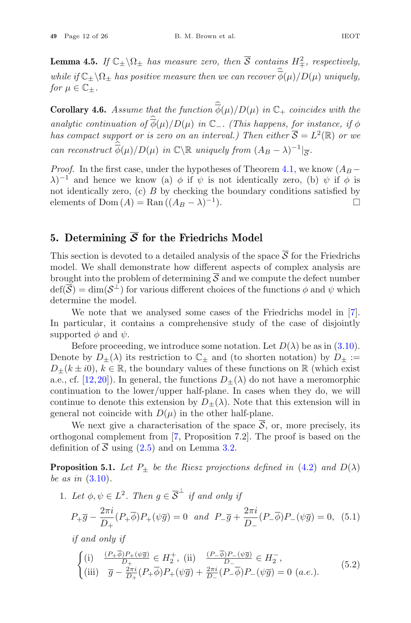**Lemma 4.5.** *If*  $\mathbb{C}_{\pm} \setminus \Omega_{\pm}$  *has measure zero, then*  $\overline{S}$  *contains*  $H^2_{\mp}$ *, respectively, while if*  $C_{\pm} \setminus \Omega_{\pm}$  *has measure zero, then*  $\overline{S}$  *contains*  $H_{\mp}^2$ *, respectively,*<br> *while if*  $C_{\pm} \setminus \Omega_{\pm}$  *has positive measure then we can recover*  $\phi(\mu)/D(\mu)$  *uniquely, for*  $\mu \in \mathbb{C}_+$ *.* **Lemma 4.5.** *If*  $\mathbb{C}_{\pm} \setminus \Omega_{\pm}$  *has measure zero, then*  $\overline{S}$  *contains*  $H_{\mp}^2$ *, respectively,*<br> *while* if  $\mathbb{C}_{\pm} \setminus \Omega_{\pm}$  *has positive measure then* we can recover  $\hat{\phi}(\mu)/D(\mu)$  uniquely,<br> *for*  $\$ while if  $\mathbb{C}_{\pm} \backslash \Omega_{\pm}$  has positive for  $\mu \in \mathbb{C}_{\pm}$ .<br> **Corollary 4.6.** Assume the analytic continuation of  $\hat{\phi}$ 

analytic continuation of  $\widehat{\phi}(\mu)/D(\mu)$  in  $\mathbb{C}_-$ . (This happens, for instance, if  $\phi$ *has compact support or is zero on an interval.) Then either*  $\overline{S} = L^2(\mathbb{R})$  *or we* Figure 2.1.<br> **Corollary 4.6.** As<br>
analytic continua<br>
has compact supp<br>
can reconstruct  $\hat{\vec{\phi}}$ *can reconstruct*  $\widehat{\phi}(\mu)/D(\mu)$  *in*  $\mathbb{C}\backslash\mathbb{R}$  *uniquely from*  $(A_B - \lambda)^{-1}$  $\Big|\overline{s}$ *.* 

*Proof.* In the first case, under the hypotheses of Theorem 4.1, we know  $(A_B - B$  $\lambda$ )<sup>-1</sup> and hence we know (a)  $\phi$  if  $\psi$  is not identically zero, (b)  $\psi$  if  $\phi$  is not identically zero,  $(c)$  B by checking the boundary conditions satisfied by elements of Dom  $(A) = \text{Ran}((A_B - \lambda)^{-1})$ .

#### **5.** Determining  $\overline{S}$  for the Friedrichs Model

This section is devoted to a detailed analysis of the space  $\overline{S}$  for the Friedrichs model. We shall demonstrate how different aspects of complex analysis are brought into the problem of determining  $\overline{S}$  and we compute the defect number  $\text{def}(\overline{S}) = \dim(S^{\perp})$  for various different choices of the functions  $\phi$  and  $\psi$  which determine the model.

We note that we analysed some cases of the Friedrichs model in [7]. In particular, it contains a comprehensive study of the case of disjointly supported  $\phi$  and  $\psi$ .

Before proceeding, we introduce some notation. Let  $D(\lambda)$  be as in (3.10). Denote by  $D_{+}(\lambda)$  its restriction to  $\mathbb{C}_{+}$  and (to shorten notation) by  $D_{+} :=$  $D_{+}(k \pm i0)$ ,  $k \in \mathbb{R}$ , the boundary values of these functions on  $\mathbb{R}$  (which exist a.e., cf. [12,20]). In general, the functions  $D_{+}(\lambda)$  do not have a meromorphic continuation to the lower/upper half-plane. In cases when they do, we will continue to denote this extension by  $D_{\pm}(\lambda)$ . Note that this extension will in general not coincide with  $D(\mu)$  in the other half-plane.

We next give a characterisation of the space  $\overline{S}$ , or, more precisely, its orthogonal complement from [7, Proposition 7.2]. The proof is based on the definition of  $\overline{S}$  using (2.5) and on Lemma 3.2.

**Proposition 5.1.** *Let*  $P_{\pm}$  *be the Riesz projections defined in* (4.2) *and*  $D(\lambda)$ *be as in* (3.10)*.*

1. Let  $\phi, \psi \in L^2$ . Then  $g \in \overline{\mathcal{S}}^{\perp}$  *if and only if* 

$$
P_{+}\overline{g} - \frac{2\pi i}{D_{+}}(P_{+}\overline{\phi})P_{+}(\psi\overline{g}) = 0 \text{ and } P_{-}\overline{g} + \frac{2\pi i}{D_{-}}(P_{-}\overline{\phi})P_{-}(\psi\overline{g}) = 0, (5.1)
$$

*if and only if*

$$
\begin{cases}\n(i) & \frac{(P_{+}\overline{\phi})P_{+}(\psi\overline{g})}{D_{+}} \in H_{2}^{+}, \text{ (ii)} & \frac{(P_{-}\overline{\phi})P_{-}(\psi\overline{g})}{D_{-}} \in H_{2}^{-}, \\
(iii) & \overline{g} - \frac{2\pi i}{D_{+}}(P_{+}\overline{\phi})P_{+}(\psi\overline{g}) + \frac{2\pi i}{D_{-}}(P_{-}\overline{\phi})P_{-}(\psi\overline{g}) = 0 \ (a.e.).\n\end{cases}
$$
\n(5.2)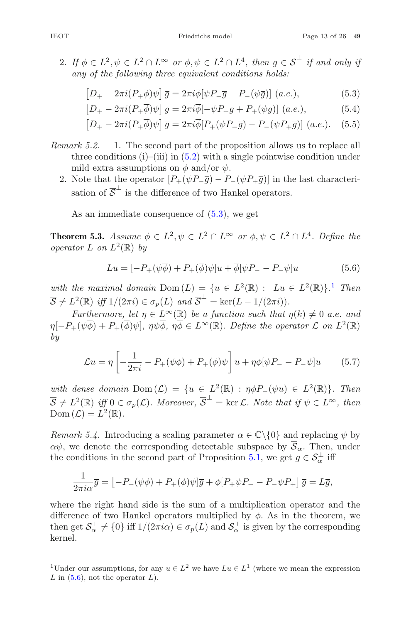$$
\left[D_{+} - 2\pi i (P_{+}\overline{\phi})\psi\right]\overline{g} = 2\pi i \overline{\phi}[\psi P_{-}\overline{g} - P_{-}(\psi \overline{g})] \ (a.e.), \tag{5.3}
$$

$$
\left[D_{+} - 2\pi i (P_{+}\overline{\phi})\psi\right]\overline{g} = 2\pi i \overline{\phi} \left[-\psi P_{+}\overline{g} + P_{+}(\psi \overline{g})\right] (a.e.), \qquad (5.4)
$$

$$
\left[D_{+} - 2\pi i (P_{+}\overline{\phi})\psi\right]\overline{g} = 2\pi i \overline{\phi} [P_{+}(\psi P_{-}\overline{g}) - P_{-}(\psi P_{+}\overline{g})] \ (a.e.). \quad (5.5)
$$

- *Remark 5.2.* 1. The second part of the proposition allows us to replace all three conditions (i)–(iii) in  $(5.2)$  with a single pointwise condition under mild extra assumptions on  $\phi$  and/or  $\psi$ .
	- 2. Note that the operator  $[P_+(\psi P_-\overline{g})-P_-(\psi P_+\overline{g})]$  in the last characterisation of  $\overline{S}^{\perp}$  is the difference of two Hankel operators.

As an immediate consequence of  $(5.3)$ , we get

**Theorem 5.3.** *Assume*  $\phi \in L^2$ ,  $\psi \in L^2 \cap L^{\infty}$  *or*  $\phi, \psi \in L^2 \cap L^4$ *. Define the operator*  $L$  *on*  $L^2(\mathbb{R})$  *by* 

$$
Lu = [-P_{+}(\psi\overline{\phi}) + P_{+}(\overline{\phi})\psi]u + \overline{\phi}[\psi P_{-} - P_{-}\psi]u
$$
 (5.6)

*with the maximal domain*  $Dom(L) = \{u \in L^2(\mathbb{R}) : \text{Lu} \in L^2(\mathbb{R})\}$ . Then  $\overline{S} \neq L^2(\mathbb{R})$  *iff*  $1/(2\pi i) \in \sigma_p(L)$  *and*  $\overline{S}^{\perp} = \ker(L - 1/(2\pi i))$ .

*Furthermore, let*  $\eta \in L^{\infty}(\mathbb{R})$  *be a function such that*  $\eta(k) \neq 0$  *a.e. and*  $\eta[-P_+(\psi\overline{\phi})+P_+(\overline{\phi})\psi], \eta\psi\overline{\phi}, \eta\overline{\phi}\in L^{\infty}(\mathbb{R})$ *. Define the operator*  $\mathcal L$  *on*  $L^2(\mathbb{R})$ *by*

$$
\mathcal{L}u = \eta \left[ -\frac{1}{2\pi i} - P_+(\psi \overline{\phi}) + P_+(\overline{\phi})\psi \right] u + \eta \overline{\phi}[\psi P_- - P_-\psi]u \tag{5.7}
$$

*with dense domain*  $Dom(\mathcal{L}) = \{u \in L^2(\mathbb{R}) : \eta \overline{\phi} P_{-}(\psi u) \in L^2(\mathbb{R})\}$ *. Then*  $\overline{S} \neq L^2(\mathbb{R})$  *iff*  $0 \in \sigma_p(\mathcal{L})$ *. Moreover*,  $\overline{S}^{\perp} = \ker \mathcal{L}$ *. Note that if*  $\psi \in L^{\infty}$ *, then*  $Dom(\mathcal{L}) = L^2(\mathbb{R}).$ 

*Remark 5.4.* Introducing a scaling parameter  $\alpha \in \mathbb{C} \backslash \{0\}$  and replacing  $\psi$  by  $\alpha\psi$ , we denote the corresponding detectable subspace by  $\overline{S}_{\alpha}$ . Then, under the conditions in the second part of Proposition 5.1, we get  $g \in S_{\alpha}^{\perp}$  iff rk 5.4. Int<br>
ve denote<br>
onditions in<br>  $\frac{1}{2\pi i\alpha}\overline{g} = \begin{bmatrix} \frac{1}{2\pi i\alpha} & \frac{1}{2\pi i\alpha} \\ \frac{1}{2\pi i\alpha} & \frac{1}{2\pi i\alpha} & \frac{1}{2\pi i\alpha} \end{bmatrix}$ 

$$
\frac{1}{2\pi i \alpha} \overline{g} = \left[ -P_+(\psi \overline{\phi}) + P_+(\overline{\phi})\psi \right] \overline{g} + \overline{\phi} \left[ P_+\psi P_- - P_-\psi P_+ \right] \overline{g} = L\overline{g},
$$

where the right hand side is the sum of a multiplication operator and the difference of two Hankel operators multiplied by  $\overline{\phi}$ . As in the theorem, we then get  $S_{\alpha}^{\perp} \neq \{0\}$  iff  $1/(2\pi i\alpha) \in \sigma_p(L)$  and  $S_{\alpha}^{\perp}$  is given by the corresponding kornel kernel.

<sup>&</sup>lt;sup>1</sup>Under our assumptions, for any  $u \in L^2$  we have  $Lu \in L^1$  (where we mean the expression  $L$  in  $(5.6)$ , not the operator  $L$ ).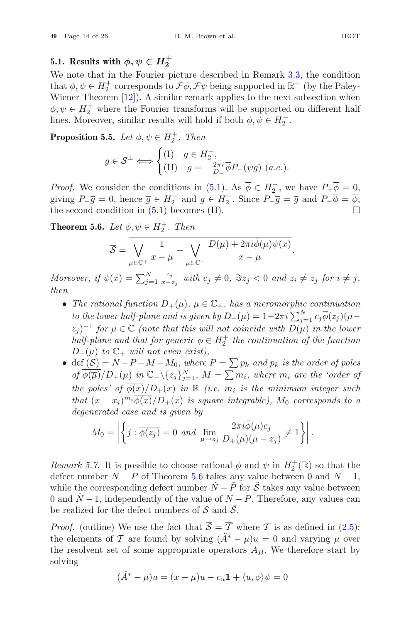#### **5.1.** Results with  $\phi, \psi \in H_2^+$

We note that in the Fourier picture described in Remark 3.3, the condition that  $\phi, \psi \in H_2^+$  corresponds to  $\mathcal{F}\phi, \mathcal{F}\psi$  being supported in  $\mathbb{R}^-$  (by the Paley-Wiener Theorem [12]). A similar remark applies to the next subsection when  $\overline{\phi}, \psi \in H_2^+$  where the Fourier transforms will be supported on different half lines. Moreover, similar results will hold if both  $\phi, \psi \in H_2^-$ . From [12]). A sin<br>here the Fourier, similar results<br>**5.** Let  $\phi, \psi \in g \in S^{\perp} \Longleftrightarrow \begin{cases} 0 & \text{if } 0 \leq g \leq 1 \end{cases}$ 

**Proposition 5.5.** *Let*  $\phi, \psi \in H_2^+$ *. Then* 

$$
g \in \mathcal{S}^{\perp} \Longleftrightarrow \begin{cases} (\text{I}) & g \in H_2^+, \\ (\text{II}) & \overline{g} = -\frac{2\pi i}{D_-} \overline{\phi} P_-(\psi \overline{g}) \ (a.e.). \end{cases}
$$

*Proof.* We consider the conditions in  $(5.1)$ . As  $\phi \in H_2^-$ , we have  $P_+ \phi = 0$ , giving  $P_+\overline{g}=0$ , hence  $\overline{g} \in H_2^-$  and  $g \in H_2^+$ . Since  $P_-\overline{g}=\overline{g}$  and  $P_-\overline{\phi}=\overline{\phi}$ , the second condition in  $(5.1)$  becomes  $(II)$ . sider the conditions in<br>
0, hence  $\overline{g} \in H_2^-$  and<br>
dition in (5.1) become<br>
Let  $\phi, \psi \in H_2^+$ . Then<br>  $\overline{S} = \sqrt{\frac{1}{x-\mu}} + \sqrt{\frac{1}{x-\mu}}$ 

**Theorem 5.6.** *Let*  $\phi, \psi \in H_2^+$ *. Then* 

$$
\overline{\mathcal{S}} = \overline{\bigvee_{\mu \in \mathbb{C}^+} \frac{1}{x - \mu} + \bigvee_{\mu \in \mathbb{C}^-} \frac{D(\mu) + 2\pi i \overline{\phi}(\mu) \psi(x)}{x - \mu}}.
$$

**Theorem 5.6.** Let  $\phi, \psi \in H_2^+$ . Then<br>  $\overline{S} = \frac{1}{\sqrt{2\pi i}} \frac{1}{x-\mu} + \frac{1}{\mu \in \mathbb{C}^-} \frac{D(\mu) + 2\pi i \overline{\phi}(\mu) \psi(x)}{x-\mu}$ .<br> *Moreover, if*  $\psi(x) = \sum_{j=1}^N \frac{c_j}{x-z_j}$  with  $c_j \neq 0$ ,  $\Im z_j < 0$  and  $z_i \neq z_j$  for  $i \neq j$ , th *then to the lower, if*  $\psi(x) = \sum_{j=1}^{N} \frac{c_j}{x - z_j}$  with  $c_j \neq 0$ ,  $\Im z_j < 0$  and  $z_i \neq$ <br>The rational function  $D_+(\mu)$ ,  $\mu \in \mathbb{C}_+$ , has a meromorphic<br>to the lower half-plane and is given by  $D_+(\mu) = 1 + 2\pi i \sum_{j=1}^{N}$ 

- The rational function  $D_+(\mu)$ ,  $\mu \in \mathbb{C}_+$ , has a meromorphic continuation  $\sum_{j=1}^{N} c_j \phi(z_j) (\mu (z_i)^{-1}$  *for*  $\mu \in \mathbb{C}$  *(note that this will not coincide with*  $D(\mu)$  *in the lower half-plane and that for generic*  $\phi \in H_2^+$  *the continuation of the function* • The rational function  $D_{+}(\mu)$ ,  $\mu \in \mathbb{C}_{+}$ , has a meromorphic continuation<br>to the lower half-plane and is given by  $D_{+}(\mu) = 1 + 2\pi i \sum_{j=1}^{N} c_j \overline{\phi}(z_j) (\mu - z_j)^{-1}$  for  $\mu \in \mathbb{C}$  (note that this will not coincide *to the lower half-plane and is given by*  $D_{+}(\mu) = 1+2\pi i \sum_{j=1}^{N} c_j \phi(z_j) (\mu-z_j)^{-1}$  *for*  $\mu \in \mathbb{C}$  (note that this will not coincide with  $D(\mu)$  in the lower half-plane and that for generic  $\phi \in H_2^+$  the continuati
- $D_{-}(\mu)$  *to*  $\mathbb{C}_{+}$  *will not even exist)*,<br>  $\bullet$  def  $(S) = N P M M_0$ , where  $P = \sum p_k$  and  $p_k$  is the order of poles *the poles' of*  $\overline{\phi(x)}/D_+(x)$  *in*  $\mathbb{R}$  *(i.e.*  $m_i$  *is the minimum integer such that*  $(x - x_i)^{m_i} \overline{\phi(x)}/D_+(x)$  *is square integrable)*,  $M_0$  *corresponds to a degenerated case and is given by*  $\ddot{\ }$  $\left\{\mu\right\} \text{ in } \mathbb{C}_-\setminus\{z_j\}_{j=1}^N$ ,  $M = \sum m_i$ , where  $m_i$  are  $f(\overline{\phi(x)}/D_+(x))$  in  $\mathbb{R}$  (i.e.  $m_i$  is the minimum  $\left\{\mu\right\}_{m_i}^{m_i} \phi(x)/D_+(x)$  is square integrable),  $M_0$  corr case and is given by  $\left\{j : \overline{\phi(\overline{z_j})$

$$
M_0 = \left| \left\{ j : \overline{\phi(\overline{z_j})} = 0 \text{ and } \lim_{\mu \to z_j} \frac{2\pi i \overline{\phi}(\mu) c_j}{D_+(\mu)(\mu - z_j)} \neq 1 \right\} \right|.
$$

*Remark 5.7.* It is possible to choose rational  $\phi$  and  $\psi$  in  $H_2^+(\mathbb{R})$  so that the defect number  $N - P$  of Theorem 5.6 takes any value between 0 and  $N - 1$ , while the corresponding defect number  $\tilde{N}-\tilde{P}$  for  $\tilde{S}$  takes any value between 0 and  $\tilde{N}$  − 1, independently of the value of  $N-P$ . Therefore, any values can be realized for the defect numbers of  $S$  and  $S$ .

*Proof.* (outline) We use the fact that  $\overline{S} = \overline{T}$  where T is as defined in (2.5): the elements of T are found by solving  $(\tilde{A}^* - \mu)u = 0$  and varying  $\mu$  over the resolvent set of some appropriate operators  $A_B$ . We therefore start by solving W<sub> $T$ </sub> or  $(\widetilde{A})$ 

$$
(A^* - \mu)u = (x - \mu)u - c_u \mathbf{1} + \langle u, \phi \rangle \psi = 0
$$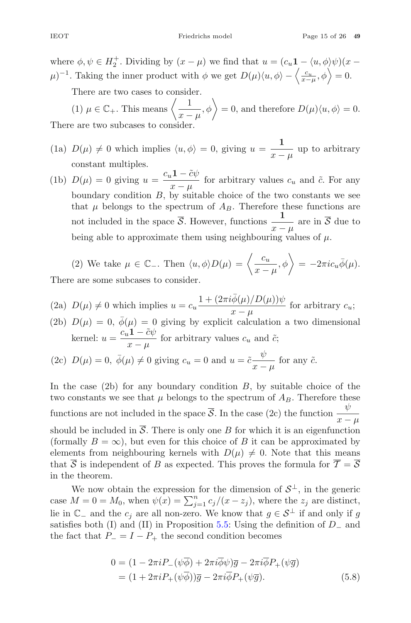IEOT Friedrichs model Page 15 of 26 **49**

where  $\phi, \psi \in H_2^+$ . Dividing by  $(x - \mu)$  we find that  $u = (c_u \mathbf{1} - \langle u, \phi \rangle \psi)(x - \mathbf{1})$ HEOT<br>
where  $\phi, \psi \in H_2^+$ . Dividing by  $(x - \mu)$  we find that  $u = (c_u \mathbf{1} - \langle u, \phi \rangle)$ <br>  $\mu$ <sup>-1</sup>. Taking the inner product with φ we get  $D(\mu)\langle u, \phi \rangle - \langle \frac{c_u}{x-\mu}, \phi \rangle$  $= 0.$ e  $\phi, \psi \in H_2^+$ . Dividing by  $(x - \mu)$ <br>Taking the inner product with<br>There are two cases to consider.<br>(1)  $\mu \in \mathbb{C}_+$ . This means  $\left\langle \frac{1}{x - \mu} \right\rangle$ b) we find that  $u = (c_u \mathbf{1} - \langle u, \phi \rangle \psi)(x - \phi)$  we get  $D(\mu)\langle u, \phi \rangle - \langle \frac{c_u}{x - \mu}, \phi \rangle = 0$ .<br>  $,\phi \rangle = 0$ , and therefore  $D(\mu)\langle u, \phi \rangle = 0$ .

There are two cases to consider.

There are two subcases to cons

- (1a)  $D(\mu) \neq 0$  which implies  $\langle u, \phi \rangle = 0$ , giving  $u = \frac{1}{x \mu}$  up to arbitrary constant multiples.
- (1b)  $D(\mu) = 0$  giving  $u = \frac{c_u \mathbf{1} \tilde{c}\psi}{\mu}$ for arbitrary values  $c_u$  and  $\tilde{c}$ . For any<br> $\frac{x - \mu}{\mu}$  for a brief the two contents we see boundary condition  $B$ , by suitable choice of the two constants we see that  $\mu$  belongs to the spectrum of  $A_B$ . Therefore these functions are not included in the space  $\overline{S}$ . However, functions  $\frac{1}{x - \mu}$  are in  $\overline{S}$  due to being able to approximate them using neighbouring values of  $\mu$ . trable choice of the two different than of  $A_B$ . Therefore the<br>However, functions  $\frac{1}{x-\mu}$ <br>em using neighbouring va<br> $u, \phi \rangle D(\mu) = \left\langle \frac{c_u}{x-\mu}, \phi \right\rangle$

(2) We take 
$$
\mu \in \mathbb{C}_-
$$
. Then  $\langle u, \phi \rangle D(\mu) = \left\langle \frac{c_u}{x - \mu}, \phi \right\rangle = -2\pi i c_u \bar{\phi}(\mu)$ .

There are some subcases to consider.

(2a) 
$$
D(\mu) \neq 0
$$
 which implies  $u = c_u \frac{1 + (2\pi i \bar{\phi}(\mu)/D(\mu))\psi}{x - \mu}$  for arbitrary  $c_u$ ;

(2b)  $D(\mu) = 0$ ,  $\bar{\phi}(\mu) = 0$  giving by explicit calculation a two dimensional kernel:  $u = \frac{c_u \mathbf{1} - \tilde{c}\psi}{\sqrt{c_u \mathbf{1} + \mathbf{0}}\mathbf{1}}$  $\frac{d^2u}{dx^2-\mu}$  for arbitrary values  $c_u$  and  $\tilde{c}$ ;

(2c) 
$$
D(\mu) = 0
$$
,  $\bar{\phi}(\mu) \neq 0$  giving  $c_u = 0$  and  $u = \tilde{c} \frac{\psi}{x - \mu}$  for any  $\tilde{c}$ .

In the case  $(2b)$  for any boundary condition  $B$ , by suitable choice of the two constants we see that  $\mu$  belongs to the spectrum of  $A_B$ . Therefore these functions are not included in the space  $\overline{S}$ . In the case (2c) the function  $\frac{\psi}{x-\mu}$ should be included in  $\overline{S}$ . There is only one B for which it is an eigenfunction (formally  $B = \infty$ ), but even for this choice of B it can be approximated by elements from neighbouring kernels with  $D(\mu) \neq 0$ . Note that this means that  $\overline{S}$  is independent of B as expected. This proves the formula for  $\overline{T} = \overline{S}$ in the theorem. (formally  $B = \infty$ ), but even for this choice of B it can be approximated by<br>elements from neighbouring kernels with  $D(\mu) \neq 0$ . Note that this means<br>that  $\overline{S}$  is independent of B as expected. This proves the formula

We now obtain the expression for the dimension of  $S^{\perp}$ , in the generic lie in  $\mathbb{C}_-$  and the  $c_j$  are all non-zero. We know that  $g \in \mathcal{S}^{\perp}$  if and only if g satisfies both (I) and (II) in Proposition 5.5: Using the definition of  $D_-\$  and the fact that  $P_ - = I - P_+$  the second condition becomes

$$
0 = (1 - 2\pi i P_{-}(\psi \overline{\phi}) + 2\pi i \overline{\phi}\psi)\overline{g} - 2\pi i \overline{\phi}P_{+}(\psi \overline{g})
$$
  
= (1 + 2\pi i P\_{+}(\psi \overline{\phi}))\overline{g} - 2\pi i \overline{\phi}P\_{+}(\psi \overline{g}). (5.8)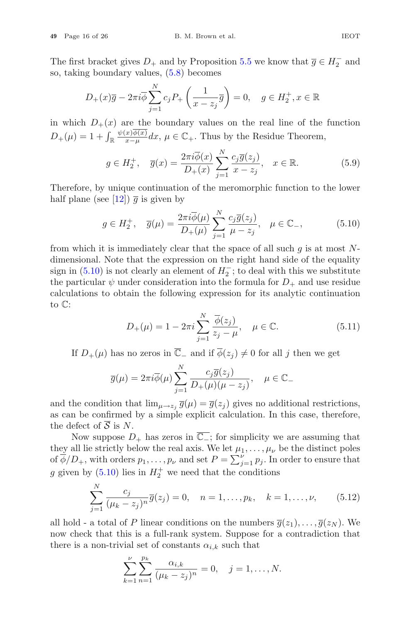The first bracket gives  $D_+$  and by Proposition 5.5 we know that  $\overline{g} \in H_2^-$  and so, taking boundary values, (5.8) becomes

$$
D_{+}(x)\overline{g} - 2\pi i \overline{\phi} \sum_{j=1}^{N} c_j P_{+} \left( \frac{1}{x - z_j} \overline{g} \right) = 0, \quad g \in H_2^+, x \in \mathbb{R}
$$

in which  $D_{+}(x)$  are the boundary values on the real line of the function  $D_+(x) \overline{g} - 2\pi i \overline{\phi}$ <br>
in which  $D_+(x)$  are the  $D_+(\mu) = 1 + \int_{\mathbb{R}} \frac{\psi(x) \overline{\phi(x)}}{x - \mu}$  $\frac{x\phi(x)}{x-\mu}dx, \mu \in \mathbb{C}_{+}$ . Thus by the Residue Theorem,

$$
g \in H_2^+, \quad \overline{g}(x) = \frac{2\pi i \overline{\phi}(x)}{D_+(x)} \sum_{j=1}^N \frac{c_j \overline{g}(z_j)}{x - z_j}, \quad x \in \mathbb{R}.
$$
 (5.9)

Therefore, by unique continuation of the meromorphic function to the lower half plane (see [12])  $\bar{q}$  is given by

$$
g \in H_2^+, \quad \overline{g}(\mu) = \frac{2\pi i \overline{\phi}(\mu)}{D_+(\mu)} \sum_{j=1}^N \frac{c_j \overline{g}(z_j)}{\mu - z_j}, \quad \mu \in \mathbb{C}_-, \tag{5.10}
$$

from which it is immediately clear that the space of all such  $q$  is at most Ndimensional. Note that the expression on the right hand side of the equality sign in (5.10) is not clearly an element of  $H_2^-$ ; to deal with this we substitute<br>the particular  $\psi$  under consideration into the formula for  $D_+$  and use residue<br>calculations to obtain the following expression for it the particular  $\psi$  under consideration into the formula for  $D_+$  and use residue calculations to obtain the following expression for its analytic continuation to C:

$$
D_{+}(\mu) = 1 - 2\pi i \sum_{j=1}^{N} \frac{\overline{\phi}(z_j)}{z_j - \mu}, \quad \mu \in \mathbb{C}.
$$
 (5.11)

If  $D_{+}(\mu)$  has no zeros in  $\overline{\mathbb{C}}$  and if  $\overline{\phi}(z_j) \neq 0$  for all j then we get

$$
\overline{g}(\mu) = 2\pi i \overline{\phi}(\mu) \sum_{j=1}^{N} \frac{c_j \overline{g}(z_j)}{D_+(\mu)(\mu - z_j)}, \quad \mu \in \mathbb{C}_-
$$

and the condition that  $\lim_{\mu\to z_i} \overline{g}(\mu) = \overline{g}(z_i)$  gives no additional restrictions, as can be confirmed by a simple explicit calculation. In this case, therefore, the defect of  $\overline{S}$  is N.

Now suppose  $D_+$  has zeros in  $\overline{\mathbb{C}_-}$ ; for simplicity we are assuming that they all lie strictly below the real axis. We let  $\mu_1,\ldots,\mu_\nu$  be the distinct poles and the condition that  $\lim_{\mu \to z_j} \overline{g}(\mu) = \overline{g}(z_j)$  gives no additional restrictions,<br>as can be confirmed by a simple explicit calculation. In this case, therefore,<br>the defect of  $\overline{S}$  is  $N$ .<br>Now suppose  $D_+$  has g given by  $(5.10)$  lies in  $H_2^+$  we need that the conditions

$$
\sum_{j=1}^{N} \frac{c_j}{(\mu_k - z_j)^n} \overline{g}(z_j) = 0, \quad n = 1, \dots, p_k, \quad k = 1, \dots, \nu,
$$
 (5.12)

all hold - a total of P linear conditions on the numbers  $\overline{g}(z_1),\ldots,\overline{g}(z_N)$ . We now check that this is a full-rank system. Suppose for a contradiction that there is a non-trivial set of constants  $\alpha_{i,k}$  such that

$$
\sum_{k=1}^{\nu} \sum_{n=1}^{p_k} \frac{\alpha_{i,k}}{(\mu_k - z_j)^n} = 0, \quad j = 1, \dots, N.
$$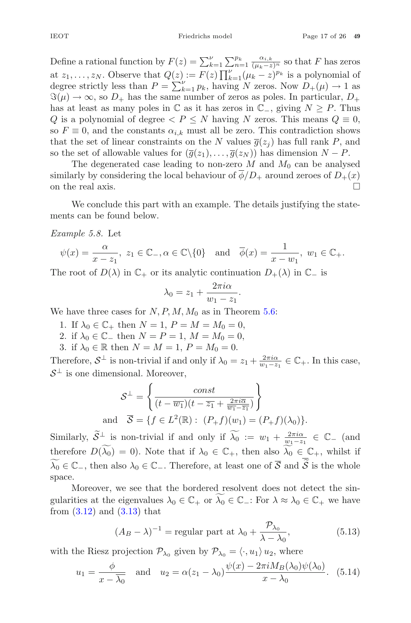**EXECUTE:** Friedrichs model Page 17 of 26 49<br>
Define a rational function by  $F(z) = \sum_{k=1}^{V} \sum_{n=1}^{p_k} \frac{\alpha_{i,k}}{(\mu_k - z)^n}$  so that F has zeros at  $z_1, \ldots, z_N$ . Observe that  $Q(z) := F(z) \prod_{k=1}^{\nu} (\mu_k - z)^{p_k}$  is a polynomial of degree strictly less than  $P = \sum_{k=1}^{\nu} n_k$  having N zeros Now  $D_{\nu}(\mu) \to 1$  as degree a rational function by  $F(z)$ <br>at  $z_1, \ldots, z_N$ . Observe that  $Q(z)$ <br>degree strictly less than  $P = \sum_{k=1}^{N} P_k$ degree strictly less than  $P = \sum_{k=1}^{\nu} p_k$ , having N zeros. Now  $D_{+}(\mu) \rightarrow 1$  as  $\Im(\mu) \to \infty$ , so  $D_+$  has the same number of zeros as poles. In particular,  $D_+$ has at least as many poles in  $\mathbb C$  as it has zeros in  $\mathbb C_$ , giving  $N \geq P$ . Thus Q is a polynomial of degree  $\langle P \leq N \rangle$  having N zeros. This means  $Q \equiv 0$ , so  $F \equiv 0$ , and the constants  $\alpha_{i,k}$  must all be zero. This contradiction shows that the set of linear constraints on the N values  $\overline{g}(z_i)$  has full rank P, and so the set of allowable values for  $(\overline{g}(z_1),\ldots,\overline{g}(z_N))$  has dimension  $N-P$ .

The degenerated case leading to non-zero  $M$  and  $M_0$  can be analysed similarly by considering the local behaviour of  $\phi/D_+$  around zeroes of  $D_+(x)$ on the real axis.  $\Box$ 

We conclude this part with an example. The details justifying the statements can be found below.

*Example 5.8.* Let

$$
\psi(x) = \frac{\alpha}{x - z_1}, \ z_1 \in \mathbb{C}_-, \alpha \in \mathbb{C} \setminus \{0\} \text{ and } \overline{\phi}(x) = \frac{1}{x - w_1}, \ w_1 \in \mathbb{C}_+.
$$

The root of  $D(\lambda)$  in  $\mathbb{C}_+$  or its analytic continuation  $D_+(\lambda)$  in  $\mathbb{C}_-$  is

$$
\lambda_0 = z_1 + \frac{2\pi i \alpha}{w_1 - z_1}.
$$

We have three cases for  $N, P, M, M_0$  as in Theorem 5.6:

- 1. If  $\lambda_0 \in \mathbb{C}_+$  then  $N = 1$ ,  $P = M = M_0 = 0$ ,
- 2. if  $\lambda_0 \in \mathbb{C}$  then  $N = P = 1, M = M_0 = 0$ ,
- 3. if  $\lambda_0 \in \mathbb{R}$  then  $N = M = 1$ ,  $P = M_0 = 0$ .

Therefore,  $S^{\perp}$  is non-trivial if and only if  $\lambda_0 = z_1 + \frac{2\pi i \alpha}{w_1 - z_1} \in \mathbb{C}_+$ . In this case,  $S^{\perp}$  is and dimensional Moreover.  $S^{\perp}$  is one dimensional. Moreover,

$$
\mathcal{S}^{\perp} = \left\{ \frac{const}{(t - \overline{w_1})(t - \overline{z_1} + \frac{2\pi i \overline{\alpha}}{\overline{w_1} - \overline{z_1}})} \right\}
$$
  
and  $\overline{\mathcal{S}} = \{ f \in L^2(\mathbb{R}) : (P_+ f)(w_1) = (P_+ f)(\lambda_0) \}.$   
Similarly,  $\widetilde{\mathcal{S}}^{\perp}$  is non-trivial if and only if  $\widetilde{\lambda_0} := w_1 + \frac{2\pi i \alpha}{w_1 - z_1} \in \mathbb{C}_-\$  (and

therefore  $D(\widetilde{\lambda_0}) = 0$ ). Note that if  $\lambda_0 \in \mathbb{C}_+$ , then also  $\widetilde{\lambda_0} \in \mathbb{C}_+$ , whilst if  $\lambda_0 \in \mathbb{C}_-$ , then also  $\lambda_0 \in \mathbb{C}_-$ . Therefore, at least one of S and S is the whole and  $\overline{S} = \{f \in L^2(\mathbb{R}) : (P_+ f)(w_1) = (P_+ f)(\lambda_0)\}.$ <br>imilarly,  $\widetilde{S}^{\perp}$  is non-trivial if and only if  $\widetilde{\lambda_0} := w_1 + \frac{2\pi i \alpha}{w_1 - z_1}$ ,<br>herefore  $D(\widetilde{\lambda_0}) = 0$ ). Note that if  $\lambda_0 \in \mathbb{C}_+$ , then also  $\lambda_0 \in \mathbb{$ space.

Moreover, we see that the bordered resolvent does not detect the singularities at the eigenvalues  $\lambda_0 \in \mathbb{C}_+$  or  $\widetilde{\lambda_0} \in \mathbb{C}_-$ : For  $\lambda \approx \lambda_0 \in \mathbb{C}_+$  we have from  $(3.12)$  and  $(3.13)$  that

$$
(A_B - \lambda)^{-1} = \text{regular part at } \lambda_0 + \frac{\mathcal{P}_{\lambda_0}}{\lambda - \lambda_0},\tag{5.13}
$$

with the Riesz projection  $\mathcal{P}_{\lambda_0}$  given by  $\mathcal{P}_{\lambda_0} = \langle \cdot, u_1 \rangle u_2$ , where

$$
u_1 = \frac{\phi}{x - \overline{\lambda_0}} \quad \text{and} \quad u_2 = \alpha (z_1 - \lambda_0) \frac{\psi(x) - 2\pi i M_B(\lambda_0) \psi(\lambda_0)}{x - \lambda_0}.
$$
 (5.14)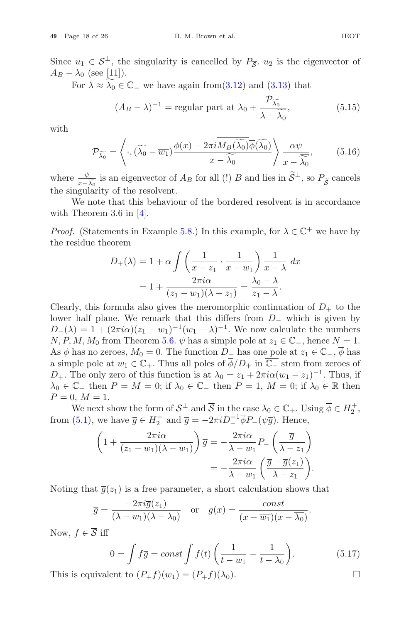Since  $u_1 \in S^{\perp}$ , the singularity is cancelled by  $P_{\overline{S}}$ .  $u_2$  is the eigenvector of  $A_B - \lambda_0$  (see [11]).

For  $\lambda \approx \lambda_0 \in \mathbb{C}$  we have again from (3.12) and (3.13) that

$$
(A_B - \lambda)^{-1} = \text{regular part at } \lambda_0 + \frac{\mathcal{P}_{\widetilde{\lambda_0}}}{\lambda - \widetilde{\lambda_0}},\tag{5.15}
$$

with

with  
\n
$$
\mathcal{P}_{\widetilde{\lambda_0}} = \left\langle \cdot, (\overline{\widetilde{\lambda_0}} - \overline{w_1}) \frac{\phi(x) - 2\pi i \overline{M_B(\widetilde{\lambda_0})} \overline{\phi(\widetilde{\lambda_0})}}{x - \widetilde{\lambda_0}} \right\rangle \frac{\alpha \psi}{x - \widetilde{\lambda_0}}, \qquad (5.16)
$$
\nwhere  $\frac{\psi}{x - \widetilde{\lambda_0}}$  is an eigenvector of  $A_B$  for all (!)  $B$  and lies in  $\widetilde{S}^{\perp}$ , so  $P_{\overline{S}}$  cancels

the singularity of the resolvent.

We note that this behaviour of the bordered resolvent is in accordance with Theorem 3.6 in  $[4]$ . our of tl<br>e 5.8.) In<br> $\int$  /  $\int$  1

*Proof.* (Statements in Example 5.8.) In this example, for  $\lambda \in \mathbb{C}^+$  we have by the residue theorem

$$
D_{+}(\lambda) = 1 + \alpha \int \left(\frac{1}{x - z_1} \cdot \frac{1}{x - w_1}\right) \frac{1}{x - \lambda} dx
$$

$$
= 1 + \frac{2\pi i \alpha}{(z_1 - w_1)(\lambda - z_1)} = \frac{\lambda_0 - \lambda}{z_1 - \lambda}.
$$

Clearly, this formula also gives the meromorphic continuation of  $D_{+}$  to the lower half plane. We remark that this differs from D<sup>−</sup> which is given by  $D_{-}(\lambda) = 1 + (2\pi i \alpha)(z_1 - w_1)^{-1}(w_1 - \lambda)^{-1}$ . We now calculate the numbers  $N, P, M, M_0$  from Theorem 5.6.  $\psi$  has a simple pole at  $z_1 \in \mathbb{C}_-$ , hence  $N = 1$ . As  $\phi$  has no zeroes,  $M_0 = 0$ . The function  $D_+$  has one pole at  $z_1 \in \mathbb{C}_-, \phi$  has a simple pole at  $w_1 \in \mathbb{C}_+$ . Thus all poles of  $\overline{\phi}/D_+$  in  $\overline{\mathbb{C}_-}$  stem from zeroes of D<sub>+</sub>. The only zero of this function is at  $\lambda_0 = z_1 + 2\pi i \alpha (w_1 - z_1)^{-1}$ . Thus, if  $\lambda_0 \in \mathbb{C}_+$  then  $P = M = 0$ ; if  $\lambda_0 \in \mathbb{C}_-$  then  $P = 1, M = 0$ ; if  $\lambda_0 \in \mathbb{R}$  then  $P = 0, M = 1.$ 

We next show the form of  $S^{\perp}$  and  $\overline{S}$  in the case  $\lambda_0 \in \mathbb{C}_+$ . Using  $\overline{\phi} \in H_2^+$ , from (5.1), we have  $\overline{g} \in H_2^-$  and  $\overline{g} = -2\pi i D_-^{-1} \overline{\phi} P_-(\psi \overline{g})$ . Hence,

$$
\left(1 + \frac{2\pi i\alpha}{(z_1 - w_1)(\lambda - w_1)}\right)\overline{g} = -\frac{2\pi i\alpha}{\lambda - w_1}P_-\left(\frac{\overline{g}}{\lambda - z_1}\right)
$$

$$
= -\frac{2\pi i\alpha}{\lambda - w_1}\left(\frac{\overline{g} - \overline{g}(z_1)}{\lambda - z_1}\right).
$$

Noting that 
$$
\overline{g}(z_1)
$$
 is a free parameter, a short calculation shows that  
\n
$$
\overline{g} = \frac{-2\pi i \overline{g}(z_1)}{(\lambda - w_1)(\lambda - \lambda_0)} \quad \text{or} \quad g(x) = \frac{\text{const}}{(x - \overline{w_1})(x - \overline{\lambda_0})}.
$$
\nNow,  $f \in \overline{S}$  iff  
\n
$$
0 = \int f\overline{g} = \text{const} \int f(t) \left(\frac{1}{t - \overline{g}} - \frac{1}{t - \overline{g}}\right).
$$

Now,  $f \in \overline{S}$  iff

$$
0 = \int f\overline{g} = const \int f(t) \left(\frac{1}{t - w_1} - \frac{1}{t - \lambda_0}\right).
$$
 (5.17)

This is equivalent to  $(P_+f)(w_1)=(P_+f)(\lambda_0)$ .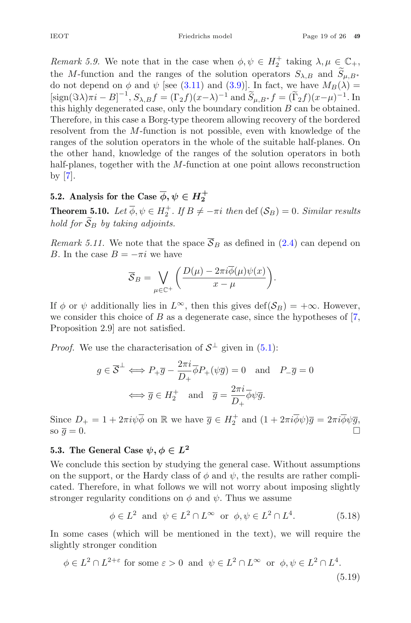*Remark 5.9.* We note that in the case when  $\phi, \psi \in H_2^+$  taking  $\lambda, \mu \in \mathbb{C}_+$ , the M-function and the ranges of the solution operators  $S_{\lambda,B}$  and  $S_{\mu,B*}$ do not depend on  $\phi$  and  $\psi$  [see (3.11) and (3.9)]. In fact, we have  $M_B(\lambda) =$ <br> $\lim_{\lambda \to \infty} (\infty)$ .  $B^{-1} S = f(\infty)$ .  $\lim_{\lambda \to \infty} \lim_{\lambda \to \infty} \lim_{\lambda \to \infty} \lim_{\lambda \to \infty} f(\tilde{\Sigma})$ .  $f(\tilde{\Sigma})$ .  $\left[\text{sign}(\Im \lambda)\pi i - B\right]^{-1}$ bte that in the case when  $\phi, \psi \in H_2^+$  taking  $\lambda, \mu \in \mathbb{C}_+,$ <br>
d the ranges of the solution operators  $S_{\lambda,B}$  and  $\widetilde{S}_{\mu,B^*}$ <br>
b and  $\psi$  [see (3.11) and (3.9)]. In fact, we have  $M_B(\lambda) =$ <br>  $,S_{\lambda,B}f = (\Gamma_2 f)(x-\lambda)^{-1}$  this highly degenerated case, only the boundary condition B can be obtained. Therefore, in this case a Borg-type theorem allowing recovery of the bordered resolvent from the M-function is not possible, even with knowledge of the ranges of the solution operators in the whole of the suitable half-planes. On the other hand, knowledge of the ranges of the solution operators in both half-planes, together with the M-function at one point allows reconstruction by [7].

#### **5.2.** Analysis for the Case  $\overline{\phi}, \psi \in H_2^+$

**Theorem 5.10.** Let  $\overline{\phi}$ ,  $\psi \in H_2^{\perp}$ . If  $B \neq -\pi i$  then def  $(\mathcal{S}_B) = 0$ *. Similar results han plane,*<br>by [7].<br>**5.2.** Analy<br>**Theorem** *i*,<br>*hold for*  $\widetilde{S}$ . *hold for*  $\widetilde{S}_B$  by taking adjoints. If  $B \neq -\pi i$  then det  $(S_E)$ 

*Remark 5.11.* We note that the space  $S_B$  as defined in (2.4) can depend on  $B_{\text{L}}$  the space  $B_{\text{L}}$  =  $\tau$  we have B. In the case  $B = -\pi i$  we have

$$
\overline{S}_B = \bigvee_{\mu \in \mathbb{C}^+} \left( \frac{D(\mu) - 2\pi i \overline{\phi}(\mu)\psi(x)}{x - \mu} \right).
$$
\nwhere  $\overline{S}_B$  is defined in

\n
$$
\overline{S}_B = \bigvee_{\mu \in \mathbb{C}^+} \left( \frac{D(\mu) - 2\pi i \overline{\phi}(\mu)\psi(x)}{x - \mu} \right).
$$

If  $\phi$  or  $\psi$  additionally lies in  $L^{\infty}$ , then this gives def( $\mathcal{S}_B$ ) = + $\infty$ . However, we consider this choice of B as a degenerate case, since the hypotheses of  $[7,$ Proposition 2.9] are not satisfied.

*Proof.* We use the characterisation of  $S^{\perp}$  given in (5.1):

$$
g \in \overline{\mathcal{S}}^{\perp} \iff P_{+} \overline{g} - \frac{2\pi i}{D_{+}} \overline{\phi} P_{+} (\psi \overline{g}) = 0 \text{ and } P_{-} \overline{g} = 0
$$

$$
\iff \overline{g} \in H_{2}^{+} \text{ and } \overline{g} = \frac{2\pi i}{D_{+}} \overline{\phi} \psi \overline{g}.
$$

Since  $D_+ = 1 + 2\pi i \psi \overline{\phi}$  on  $\mathbb R$  we have  $\overline{g} \in H_2^+$  and  $(1 + 2\pi i \overline{\phi} \psi) \overline{g} = 2\pi i \overline{\phi} \psi \overline{g}$ , so  $\bar{g} = 0$ .

#### **5.3.** The General Case  $\psi, \phi \in L^2$

We conclude this section by studying the general case. Without assumptions on the support, or the Hardy class of  $\phi$  and  $\psi$ , the results are rather complicated. Therefore, in what follows we will not worry about imposing slightly stronger regularity conditions on  $\phi$  and  $\psi$ . Thus we assume

$$
\phi \in L^2 \text{ and } \psi \in L^2 \cap L^\infty \text{ or } \phi, \psi \in L^2 \cap L^4. \tag{5.18}
$$

In some cases (which will be mentioned in the text), we will require the slightly stronger condition

$$
\phi \in L^2 \cap L^{2+\varepsilon} \text{ for some } \varepsilon > 0 \text{ and } \psi \in L^2 \cap L^{\infty} \text{ or } \phi, \psi \in L^2 \cap L^4.
$$
\n
$$
(5.19)
$$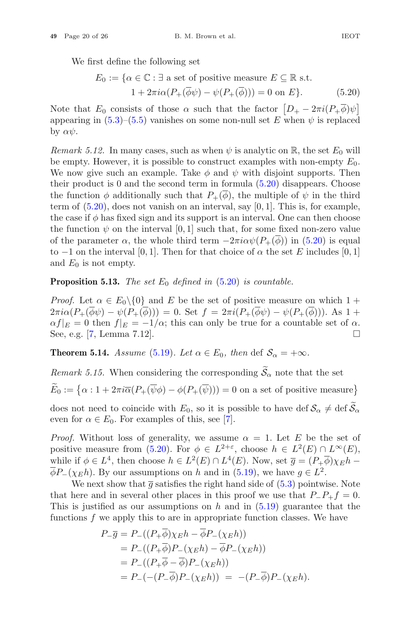We first define the following set

We first define the following set  
\n
$$
E_0 := \{ \alpha \in \mathbb{C} : \exists \text{ a set of positive measure } E \subseteq \mathbb{R} \text{ s.t. } 1 + 2\pi i \alpha (P_+(\overline{\phi}\psi) - \psi(P_+(\overline{\phi}))) = 0 \text{ on } E \}. \tag{5.20}
$$
\nNote that  $E_0$  consists of those  $\alpha$  such that the factor  $[D_+ - 2\pi i (P_+\overline{\phi})\psi]$ 

appearing in  $(5.3)$ – $(5.5)$  vanishes on some non-null set E when  $\psi$  is replaced by  $\alpha \psi$ .

*Remark 5.12.* In many cases, such as when  $\psi$  is analytic on R, the set  $E_0$  will be empty. However, it is possible to construct examples with non-empty  $E_0$ . We now give such an example. Take  $\phi$  and  $\psi$  with disjoint supports. Then their product is 0 and the second term in formula (5.20) disappears. Choose the function  $\phi$  additionally such that  $P_+(\phi)$ , the multiple of  $\psi$  in the third term of  $(5.20)$ , does not vanish on an interval, say  $[0, 1]$ . This is, for example, the case if  $\phi$  has fixed sign and its support is an interval. One can then choose the function  $\psi$  on the interval [0, 1] such that, for some fixed non-zero value of the parameter  $\alpha$ , the whole third term  $-2\pi i \alpha \psi (P_+(\phi))$  in (5.20) is equal to  $-1$  on the interval [0, 1]. Then for that choice of  $\alpha$  the set E includes [0, 1] and  $E_0$  is not empty.

**Proposition 5.13.** *The set*  $E_0$  *defined in* (5.20) *is countable.* 

*Proof.* Let  $\alpha \in E_0 \setminus \{0\}$  and E be the set of positive measure on which  $1 +$  $2\pi i\alpha(P_+(\overline{\phi}\psi)-\psi(P_+(\overline{\phi})))=0.$  Set  $f=2\pi i(P_+(\overline{\phi}\psi)-\psi(P_+(\overline{\phi})))$ . As  $1+$  $\alpha f|_E = 0$  then  $f|_E = -1/\alpha$ ; this can only be true for a countable set of  $\alpha$ .<br>See, e.g. [7, Lemma 7.12]. See, e.g. [7, Lemma 7.12]. - $\alpha f|_E = 0$  then  $f|_E = -1/\alpha$ ; this can only be true for a countable set of See, e.g. [7, Lemma 7.12].<br>Theorem 5.14. Assume (5.19). Let  $\alpha \in E_0$ , then def  $S_{\alpha} = +\infty$ .<br>*Remark 5.15.* When considering the corresponding  $\$ 

**Theorem 5.14.** *Assume* (5.19)*. Let*  $\alpha \in E_0$ *, then* def  $S_\alpha = +\infty$ *.* 

See, e.g. [7, Lemma 7.12].  
\n**Theorem 5.14.** Assume (5.19). Let 
$$
\alpha \in E_0
$$
, then def  $S_{\alpha} = +\infty$ .  
\nRemark 5.15. When considering the corresponding  $\widetilde{S}_{\alpha}$  note that the set  
\n $\widetilde{E}_0 := {\alpha : 1 + 2\pi i \overline{\alpha} (P_+(\overline{\psi}\phi) - \phi(P_+(\overline{\psi}))) = 0$  on a set of positive measure}

**Theorem 5.14.** Assume (5.19). Let  $\alpha \in E_0$ , then det  $S_{\alpha} = +\infty$ .<br>
Remark 5.15. When considering the corresponding  $\widetilde{S}_{\alpha}$  note that the set<br>  $\widetilde{E}_0 := \{ \alpha : 1 + 2\pi i \overline{\alpha} (P_+(\overline{\psi}\phi) - \phi(P_+(\overline{\psi}))) = 0 \text{ on a set of positive measure} \}$ <br>
d even for  $\alpha \in E_0$ . For examples of this, see [7].

*Proof.* Without loss of generality, we assume  $\alpha = 1$ . Let E be the set of positive measure from (5.20). For  $\phi \in L^{2+\varepsilon}$ , choose  $h \in L^2(E) \cap L^{\infty}(E)$ , while if  $\phi \in L^4$ , then choose  $h \in L^2(E) \cap L^4(E)$ . Now, set  $\overline{g} = (P_+\overline{\phi})\chi_E h \overline{\phi}P_{-}(\chi_{E}h)$ . By our assumptions on h and in (5.19), we have  $g \in L^{2}$ .

We next show that  $\bar{g}$  satisfies the right hand side of  $(5.3)$  pointwise. Note that here and in several other places in this proof we use that  $P_{-}P_{+}f = 0$ . This is justified as our assumptions on  $h$  and in  $(5.19)$  guarantee that the functions  $f$  we apply this to are in appropriate function classes. We have

$$
P_{-\overline{g}} = P_{-}((P_{+}\overline{\phi})\chi_{E}h - \overline{\phi}P_{-}(\chi_{E}h))
$$
  
=  $P_{-}((P_{+}\overline{\phi})P_{-}(\chi_{E}h) - \overline{\phi}P_{-}(\chi_{E}h))$   
=  $P_{-}((P_{+}\overline{\phi} - \overline{\phi})P_{-}(\chi_{E}h))$   
=  $P_{-}(-(P_{-}\overline{\phi})P_{-}(\chi_{E}h)) = -(P_{-}\overline{\phi})P_{-}(\chi_{E}h).$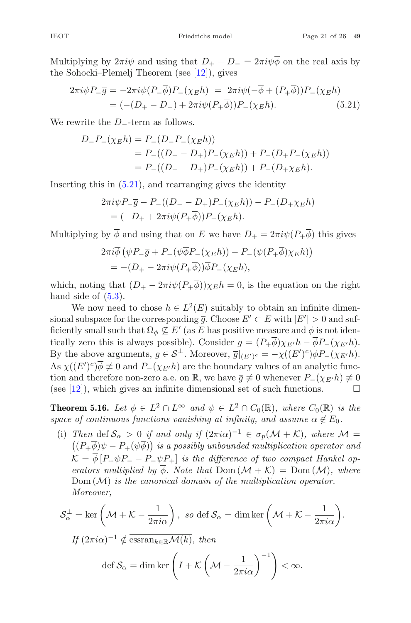Multiplying by  $2\pi i\psi$  and using that  $D_+ - D_- = 2\pi i\psi \overline{\phi}$  on the real axis by the Sohocki–Plemelj Theorem (see [12]), gives

$$
2\pi i \psi P_{-\overline{g}} = -2\pi i \psi (P_{-\overline{\phi}}) P_{-}(\chi_{E} h) = 2\pi i \psi (-\overline{\phi} + (P_{+}\overline{\phi})) P_{-}(\chi_{E} h)
$$
  
=  $(-(D_{+} - D_{-}) + 2\pi i \psi (P_{+}\overline{\phi})) P_{-}(\chi_{E} h).$  (5.21)

We rewrite the D−-term as follows.

$$
D_{-}P_{-}(\chi_{E}h) = P_{-}(D_{-}P_{-}(\chi_{E}h))
$$
  
=  $P_{-}((D_{-}-D_{+})P_{-}(\chi_{E}h)) + P_{-}(D_{+}P_{-}(\chi_{E}h))$   
=  $P_{-}((D_{-}-D_{+})P_{-}(\chi_{E}h)) + P_{-}(D_{+}\chi_{E}h).$ 

Inserting this in (5.21), and rearranging gives the identity

$$
2\pi i \psi P_-\overline{g} - P_-\left((D_--D_+)P_-(\chi_E h)\right) - P_-\left(D_+\chi_E h\right) = (-D_+ + 2\pi i \psi(P_+\overline{\phi}))P_-(\chi_E h).
$$

Multiplying by  $\overline{\phi}$  and using that on E we have  $D_+ = 2\pi i \psi (P_+\overline{\phi})$  this gives

$$
2\pi i \overline{\phi} \left( \psi P_- \overline{g} + P_- (\psi \overline{\phi} P_- (\chi_E h)) - P_- (\psi (P_+ \overline{\phi}) \chi_E h) \right)
$$
  
=  $-(D_+ - 2\pi i \psi (P_+ \overline{\phi})) \overline{\phi} P_- (\chi_E h),$ 

which, noting that  $(D_{+} - 2\pi i \psi (P_{+} \overline{\phi})) \chi_E h = 0$ , is the equation on the right hand side of  $(5.3)$ .

We now need to chose  $h \in L^2(E)$  suitably to obtain an infinite dimensional subspace for the corresponding  $\overline{g}$ . Choose  $E' \subset E$  with  $|E'| > 0$  and sufficiently small such that  $\Omega_{\phi} \nsubseteq E'$  (as E has positive measure and  $\phi$  is not identically zero this is always possible). Consider  $\overline{g} = (P_+\overline{\phi})\chi_{E'}h - \overline{\phi}P_-(\chi_{E'}h)$ . By the above arguments,  $g \in S^{\perp}$ . Moreover,  $\overline{g}|_{(E')^c} = -\chi((E')^c)\phi P_-(\chi_{E'}h)$ . As  $\chi((E')^c)\phi \neq 0$  and  $P_-(\chi_{E'}h)$  are the boundary values of an analytic func-<br>tion and therefore non-zero a.g. on  $\mathbb{P}$ , we have  $\bar{z} \neq 0$  whenever  $P_-(\chi_{E'}h) \neq 0$ tion and therefore non-zero a.e. on R, we have  $\overline{g} \neq 0$  whenever  $P_-(\chi_{E'}h) \neq 0$ <br>(see [12]), which gives an infinite dimensional set of such functions. (see [12]), which gives an infinite dimensional set of such functions.  $\Box$ 

**Theorem 5.16.** *Let*  $\phi \in L^2 \cap L^{\infty}$  *and*  $\psi \in L^2 \cap C_0(\mathbb{R})$ *, where*  $C_0(\mathbb{R})$  *is the space of continuous functions vanishing at infinity, and assume*  $\alpha \notin E_0$ .

(i) *Then* def  $S_\alpha > 0$  *if and only if*  $(2\pi i\alpha)^{-1} \in \sigma_p(\mathcal{M} + \mathcal{K})$ *, where*  $\mathcal{M} =$  $(P_{+}\underline{\phi})\psi - P_{+}(\psi\phi)$  *is a possibly unbounded multiplication operator and*  $\mathcal{K} = \phi \left[ P_+ \psi P_- - P_- \psi P_+ \right]$  *is the difference of two compact Hankel operators multiplied by*  $\overline{\phi}$ *. Note that* Dom  $(\mathcal{M} + \mathcal{K}) =$  Dom  $(\mathcal{M})$ *, where* Dom (M) *is the canonical domain of the multiplication operator. Moreover,*  $(K + \varphi)\varphi - 1 + (\varphi\varphi)$  is a possibly allocalled matriplication operator<br>  $K = \overline{\varphi}[P_+\psi P_- - P_-\psi P_+]$  is the difference of two compact Hanke<br>
erators multiplied by  $\overline{\varphi}$ . Note that Dom  $(M + K) = \text{Dom}(M)$ , a<br>
Dom  $(M)$  is the c

$$
\mathcal{S}_{\alpha}^{\perp} = \ker \left( \mathcal{M} + \mathcal{K} - \frac{1}{2\pi i \alpha} \right), \text{ so def } \mathcal{S}_{\alpha} = \dim \ker \left( \mathcal{M} + \mathcal{K} - \frac{1}{2\pi i \alpha} \right).
$$
  
If  $(2\pi i \alpha)^{-1} \notin \overline{\operatorname{essran}_{k \in \mathbb{R}}\mathcal{M}(k)}, \text{ then}$   

$$
\operatorname{def} \mathcal{S}_{\alpha} = \dim \ker \left( I + \mathcal{K} \left( \mathcal{M} - \frac{1}{2\pi i \alpha} \right)^{-1} \right) < \infty.
$$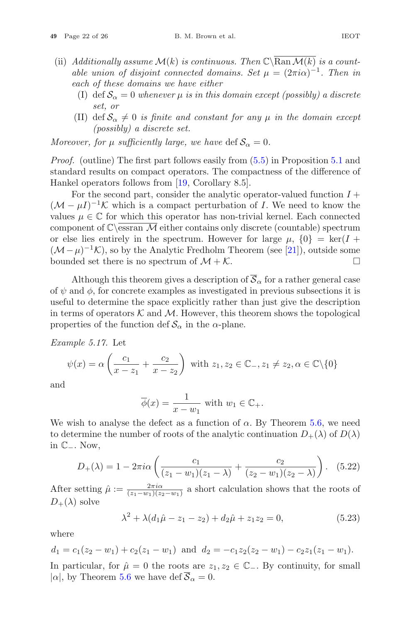- (ii) *Additionally assume*  $\mathcal{M}(k)$  *is continuous. Then*  $\mathbb{C}\setminus\overline{\mathrm{Ran}\,\mathcal{M}(k)}$  *is a countable union of disjoint connected domains. Set*  $\mu = (2\pi i \alpha)^{-1}$ . Then in *each of these domains we have either*
	- (I) def  $S_\alpha = 0$  whenever  $\mu$  *is in this domain except (possibly) a discrete set, or*
	- (II) def  $S_\alpha \neq 0$  *is finite and constant for any*  $\mu$  *in the domain except (possibly) a discrete set.*

*Moreover, for*  $\mu$  *sufficiently large, we have* def  $S_{\alpha} = 0$ *.* 

*Proof.* (outline) The first part follows easily from  $(5.5)$  in Proposition 5.1 and standard results on compact operators. The compactness of the difference of Hankel operators follows from [19, Corollary 8.5].

For the second part, consider the analytic operator-valued function  $I +$  $(\mathcal{M} - \mu I)^{-1} \mathcal{K}$  which is a compact perturbation of I. We need to know the values  $\mu \in \mathbb{C}$  for which this operator has non-trivial kernel. Each connected component of  $\mathbb{C}\setminus \mathsf{essran}\; \mathcal{M}$  either contains only discrete (countable) spectrum or else lies entirely in the spectrum. However for large  $\mu$ ,  $\{0\} = \ker(I +$  $(\mathcal{M} - \mu)^{-1}\mathcal{K}$ , so by the Analytic Fredholm Theorem (see [21]), outside some bounded set there is no spectrum of  $\mathcal{M} + \mathcal{K}$ . bounded set there is no spectrum of  $\mathcal{M} + \mathcal{K}$ .

Although this theorem gives a description of  $\overline{S}_{\alpha}$  for a rather general case of  $\psi$  and  $\phi$ , for concrete examples as investigated in previous subsections it is useful to determine the space explicitly rather than just give the description in terms of operators  $K$  and  $M$ . However, this theorem shows the topological properties of the function def  $S_{\alpha}$  in the  $\alpha$ -plane.

*Example 5.17.* Let

$$
\psi(x) = \alpha \left( \frac{c_1}{x - z_1} + \frac{c_2}{x - z_2} \right) \text{ with } z_1, z_2 \in \mathbb{C}_-, z_1 \neq z_2, \alpha \in \mathbb{C} \setminus \{0\}
$$

and

$$
\overline{\phi}(x) = \frac{1}{x - w_1} \text{ with } w_1 \in \mathbb{C}_+.
$$

We wish to analyse the defect as a function of  $\alpha$ . By Theorem 5.6, we need to determine the number of roots of the analytic continuation  $D_+(\lambda)$  of  $D(\lambda)$ in <sup>C</sup>−. Now,  $\overline{\phi}(x) = \frac{1}{x - w_1}$ <br>sh to analyse the defect as a f<br>ermine the number of roots of t<br>Now,<br> $D_+(\lambda) = 1 - 2\pi i \alpha \left(\frac{c_1}{(z_1 - w_1)}\right)$ 

$$
D_{+}(\lambda) = 1 - 2\pi i \alpha \left( \frac{c_1}{(z_1 - w_1)(z_1 - \lambda)} + \frac{c_2}{(z_2 - w_1)(z_2 - \lambda)} \right). \quad (5.22)
$$

After setting  $\hat{\mu} := \frac{2\pi i \alpha}{(z_1 - w_1)(z_2 - w_1)}$  a short calculation shows that the roots of  $D_+(\lambda)$  solve

$$
\lambda^2 + \lambda (d_1 \hat{\mu} - z_1 - z_2) + d_2 \hat{\mu} + z_1 z_2 = 0, \tag{5.23}
$$

where

$$
d_1 = c_1(z_2 - w_1) + c_2(z_1 - w_1)
$$
 and  $d_2 = -c_1z_2(z_2 - w_1) - c_2z_1(z_1 - w_1)$ . In particular, for  $\hat{\mu} = 0$  the roots are  $z_1, z_2 \in \mathbb{C}_-$ . By continuity, for small  $|\alpha|$ , by Theorem 5.6 we have  $\text{def } \overline{S}_{\alpha} = 0$ .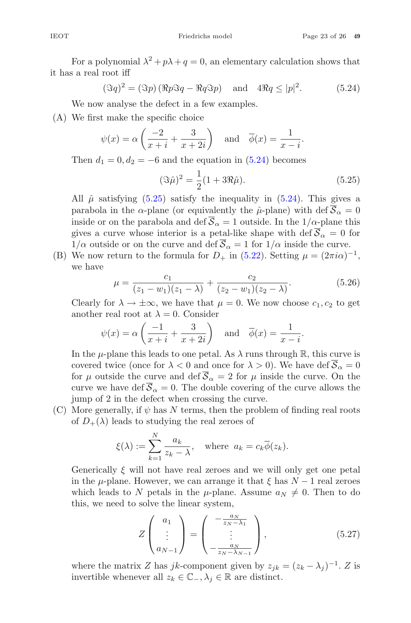For a polynomial  $\lambda^2 + p\lambda + q = 0$ , an elementary calculation shows that it has a real root iff

$$
(\Im q)^2 = (\Im p) (\Re p \Im q - \Re q \Im p) \quad \text{and} \quad 4\Re q \le |p|^2. \tag{5.24}
$$

We now analyse the defect in a few examples.

(A) We first make the specific choice

$$
\psi(x) = \alpha \left( \frac{-2}{x+i} + \frac{3}{x+2i} \right)
$$
 and  $\overline{\phi}(x) = \frac{1}{x-i}$ .

Then  $d_1 = 0, d_2 = -6$  and the equation in (5.24) becomes

$$
(\Im \hat{\mu})^2 = \frac{1}{2}(1 + 3\Re \hat{\mu}).
$$
\n(5.25)

All  $\hat{\mu}$  satisfying (5.25) satisfy the inequality in (5.24). This gives a parabola in the  $\alpha$ -plane (or equivalently the  $\hat{\mu}$ -plane) with def  $\overline{S}_{\alpha} = 0$ inside or on the parabola and def  $\overline{S}_{\alpha} = 1$  outside. In the  $1/\alpha$ -plane this gives a curve whose interior is a petal-like shape with def  $\overline{S}_{\alpha} = 0$  for  $1/\alpha$  outside or on the curve and def  $\overline{S}_{\alpha} = 1$  for  $1/\alpha$  inside the curve.

(B) We now return to the formula for  $D_+$  in (5.22). Setting  $\mu = (2\pi i \alpha)^{-1}$ , we have

$$
\mu = \frac{c_1}{(z_1 - w_1)(z_1 - \lambda)} + \frac{c_2}{(z_2 - w_1)(z_2 - \lambda)}.
$$
\n(5.26)

Clearly for  $\lambda \to \pm \infty$ , we have that  $\mu = 0$ . We now choose  $c_1, c_2$  to get another real root at  $\lambda = 0$ . Consider

$$
\psi(x) = \alpha \left( \frac{-1}{x+i} + \frac{3}{x+2i} \right)
$$
 and  $\overline{\phi}(x) = \frac{1}{x-i}$ .

In the  $\mu$ -plane this leads to one petal. As  $\lambda$  runs through R, this curve is covered twice (once for  $\lambda < 0$  and once for  $\lambda > 0$ ). We have def  $\overline{S}_{\alpha} = 0$ for  $\mu$  outside the curve and def  $\overline{S}_{\alpha} = 2$  for  $\mu$  inside the curve. On the curve we have def  $\overline{S}_{\alpha} = 0$ . The double covering of the curve allows the<br>jump of 2 in the defect when crossing the curve.<br>More generally, if  $\psi$  has N terms, then the problem of finding real roots<br>of  $D_{+}(\lambda)$  leads jump of 2 in the defect when crossing the curve.

(C) More generally, if  $\psi$  has N terms, then the problem of finding real roots of  $D_{+}(\lambda)$  leads to studying the real zeroes of

$$
\xi(\lambda) := \sum_{k=1}^{N} \frac{a_k}{z_k - \lambda}, \quad \text{where} \ \ a_k = c_k \overline{\phi}(z_k).
$$

Generically  $\xi$  will not have real zeroes and we will only get one petal in the  $\mu$ -plane. However, we can arrange it that  $\xi$  has  $N-1$  real zeroes which leads to N petals in the  $\mu$ -plane. Assume  $a_N \neq 0$ . Then to do this, we need to solve the linear system,

$$
Z\begin{pmatrix} a_1 \\ \vdots \\ a_{N-1} \end{pmatrix} = \begin{pmatrix} -\frac{a_N}{z_N - \lambda_1} \\ \vdots \\ -\frac{a_N}{z_N - \lambda_{N-1}} \end{pmatrix},
$$
(5.27)

where the matrix Z has jk-component given by  $z_{jk} = (z_k - \lambda_j)^{-1}$ . Z is invertible whenever all  $z_k \in \mathbb{C}_{-}$ ,  $\lambda_j \in \mathbb{R}$  are distinct.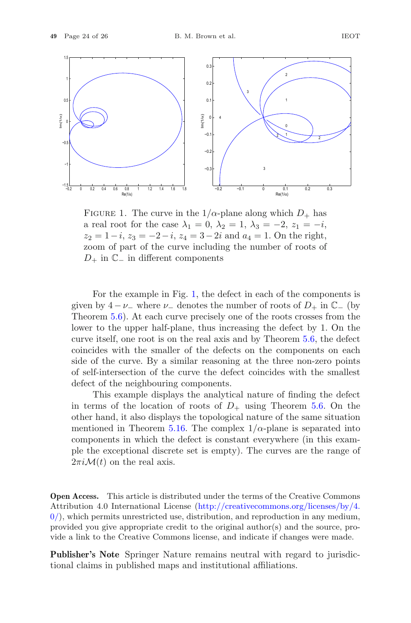1.5



FIGURE 1. The curve in the  $1/\alpha$ -plane along which  $D_+$  has a real root for the case  $\lambda_1 = 0$ ,  $\lambda_2 = 1$ ,  $\lambda_3 = -2$ ,  $z_1 = -i$ ,  $z_2 = 1-i$ ,  $z_3 = -2-i$ ,  $z_4 = 3-2i$  and  $a_4 = 1$ . On the right, zoom of part of the curve including the number of roots of  $D_+$  in  $\mathbb{C}_-$  in different components

For the example in Fig. 1, the defect in each of the components is given by  $4 - \nu_{-}$  where  $\nu_{-}$  denotes the number of roots of  $D_{+}$  in  $\mathbb{C}_{-}$  (by Theorem 5.6). At each curve precisely one of the roots crosses from the lower to the upper half-plane, thus increasing the defect by 1. On the curve itself, one root is on the real axis and by Theorem 5.6, the defect coincides with the smaller of the defects on the components on each side of the curve. By a similar reasoning at the three non-zero points of self-intersection of the curve the defect coincides with the smallest defect of the neighbouring components.

This example displays the analytical nature of finding the defect in terms of the location of roots of  $D_+$  using Theorem 5.6. On the other hand, it also displays the topological nature of the same situation mentioned in Theorem 5.16. The complex  $1/\alpha$ -plane is separated into components in which the defect is constant everywhere (in this example the exceptional discrete set is empty). The curves are the range of  $2\pi i \mathcal{M}(t)$  on the real axis.

**Open Access.** This article is distributed under the terms of the Creative Commons Attribution 4.0 International License [\(http://creativecommons.org/licenses/by/4.](http://creativecommons.org/licenses/by/4.0/)  $0$ , which permits unrestricted use, distribution, and reproduction in any medium, provided you give appropriate credit to the original author(s) and the source, provide a link to the Creative Commons license, and indicate if changes were made.

**Publisher's Note** Springer Nature remains neutral with regard to jurisdictional claims in published maps and institutional affiliations.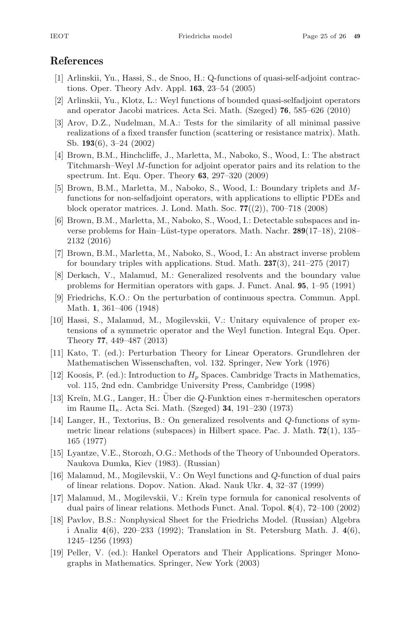#### **References**

- [1] Arlinskii, Yu., Hassi, S., de Snoo, H.: Q-functions of quasi-self-adjoint contractions. Oper. Theory Adv. Appl. **163**, 23–54 (2005)
- [2] Arlinskii, Yu., Klotz, L.: Weyl functions of bounded quasi-selfadjoint operators and operator Jacobi matrices. Acta Sci. Math. (Szeged) **76**, 585–626 (2010)
- [3] Arov, D.Z., Nudelman, M.A.: Tests for the similarity of all minimal passive realizations of a fixed transfer function (scattering or resistance matrix). Math. Sb. **193**(6), 3–24 (2002)
- [4] Brown, B.M., Hinchcliffe, J., Marletta, M., Naboko, S., Wood, I.: The abstract Titchmarsh–Weyl M-function for adjoint operator pairs and its relation to the spectrum. Int. Equ. Oper. Theory **63**, 297–320 (2009)
- [5] Brown, B.M., Marletta, M., Naboko, S., Wood, I.: Boundary triplets and Mfunctions for non-selfadjoint operators, with applications to elliptic PDEs and block operator matrices. J. Lond. Math. Soc. **77**((2)), 700–718 (2008)
- [6] Brown, B.M., Marletta, M., Naboko, S., Wood, I.: Detectable subspaces and inverse problems for Hain–Lüst-type operators. Math. Nachr. **289**(17–18), 2108– 2132 (2016)
- [7] Brown, B.M., Marletta, M., Naboko, S., Wood, I.: An abstract inverse problem for boundary triples with applications. Stud. Math. **237**(3), 241–275 (2017)
- [8] Derkach, V., Malamud, M.: Generalized resolvents and the boundary value problems for Hermitian operators with gaps. J. Funct. Anal. **95**, 1–95 (1991)
- [9] Friedrichs, K.O.: On the perturbation of continuous spectra. Commun. Appl. Math. **1**, 361–406 (1948)
- [10] Hassi, S., Malamud, M., Mogilevskii, V.: Unitary equivalence of proper extensions of a symmetric operator and the Weyl function. Integral Equ. Oper. Theory **77**, 449–487 (2013)
- [11] Kato, T. (ed.): Perturbation Theory for Linear Operators. Grundlehren der Mathematischen Wissenschaften, vol. 132. Springer, New York (1976)
- [12] Koosis, P. (ed.): Introduction to  $H_p$  Spaces. Cambridge Tracts in Mathematics, vol. 115, 2nd edn. Cambridge University Press, Cambridge (1998)
- [13] Kreĭn, M.G., Langer, H.: Uber die  $Q$ -Funktion eines  $\pi$ -hermiteschen operators im Raume Πκ. Acta Sci. Math. (Szeged) **34**, 191–230 (1973)
- [14] Langer, H., Textorius, B.: On generalized resolvents and Q-functions of symmetric linear relations (subspaces) in Hilbert space. Pac. J. Math. **72**(1), 135– 165 (1977)
- [15] Lyantze, V.E., Storozh, O.G.: Methods of the Theory of Unbounded Operators. Naukova Dumka, Kiev (1983). (Russian)
- [16] Malamud, M., Mogilevskii, V.: On Weyl functions and Q-function of dual pairs of linear relations. Dopov. Nation. Akad. Nauk Ukr. **4**, 32–37 (1999)
- [17] Malamud, M., Mogilevskii, V.: Kreĭn type formula for canonical resolvents of dual pairs of linear relations. Methods Funct. Anal. Topol. **8**(4), 72–100 (2002)
- [18] Pavlov, B.S.: Nonphysical Sheet for the Friedrichs Model. (Russian) Algebra i Analiz **4**(6), 220–233 (1992); Translation in St. Petersburg Math. J. **4**(6), 1245–1256 (1993)
- [19] Peller, V. (ed.): Hankel Operators and Their Applications. Springer Monographs in Mathematics. Springer, New York (2003)